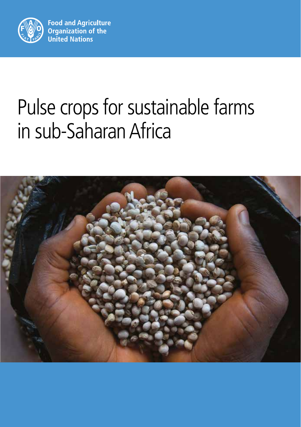

# Pulse crops for sustainable farms in sub-Saharan Africa

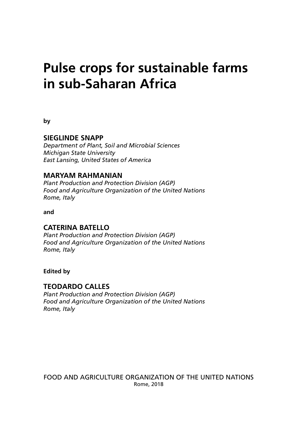# **Pulse crops for sustainable farms in sub-Saharan Africa**

#### **by**

#### **SIEGLINDE SNAPP**

*Department of Plant, Soil and Microbial Sciences Michigan State University East Lansing, United States of America*

#### **MARYAM RAHMANIAN**

*Plant Production and Protection Division (AGP) Food and Agriculture Organization of the United Nations Rome, Italy*

**and**

#### **CATERINA BATELLO**

*Plant Production and Protection Division (AGP) Food and Agriculture Organization of the United Nations Rome, Italy*

#### **Edited by**

#### **TEODARDO CALLES**

*Plant Production and Protection Division (AGP) Food and Agriculture Organization of the United Nations Rome, Italy*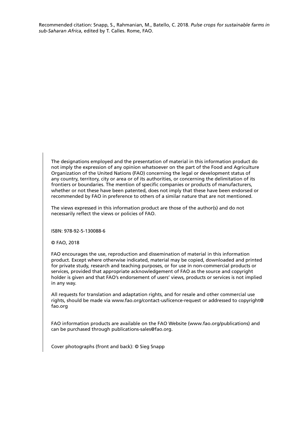Recommended citation: Snapp, S., Rahmanian, M., Batello, C. 2018. *Pulse crops for sustainable farms in sub-Saharan Africa*, edited by T. Calles. Rome, FAO.

The designations employed and the presentation of material in this information product do not imply the expression of any opinion whatsoever on the part of the Food and Agriculture Organization of the United Nations (FAO) concerning the legal or development status of any country, territory, city or area or of its authorities, or concerning the delimitation of its frontiers or boundaries. The mention of specific companies or products of manufacturers, whether or not these have been patented, does not imply that these have been endorsed or recommended by FAO in preference to others of a similar nature that are not mentioned.

The views expressed in this information product are those of the author(s) and do not necessarily reflect the views or policies of FAO.

ISBN: 978-92-5-130088-6

© FAO, 2018

FAO encourages the use, reproduction and dissemination of material in this information product. Except where otherwise indicated, material may be copied, downloaded and printed for private study, research and teaching purposes, or for use in non-commercial products or services, provided that appropriate acknowledgement of FAO as the source and copyright holder is given and that FAO's endorsement of users' views, products or services is not implied in any way.

All requests for translation and adaptation rights, and for resale and other commercial use rights, should be made via www.fao.org/contact-us/licence-request or addressed to copyright@ fao.org

FAO information products are available on the FAO Website (www.fao.org/publications) and can be purchased through publications-sales@fao.org.

Cover photographs (front and back): © Sieg Snapp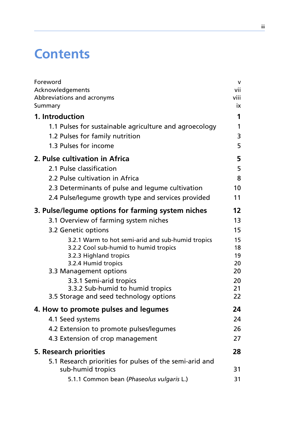# **Contents**

| Foreword                                                | V              |
|---------------------------------------------------------|----------------|
| Acknowledgements                                        | vii            |
| Abbreviations and acronyms                              | viii           |
| Summary                                                 | iх             |
| 1. Introduction                                         | 1              |
| 1.1 Pulses for sustainable agriculture and agroecology  | $\mathbf{1}$   |
| 1.2 Pulses for family nutrition                         | 3              |
| 1.3 Pulses for income                                   | 5              |
| 2. Pulse cultivation in Africa                          | 5              |
| 2.1 Pulse classification                                | 5              |
| 2.2 Pulse cultivation in Africa                         | 8              |
| 2.3 Determinants of pulse and legume cultivation        | 10             |
| 2.4 Pulse/legume growth type and services provided      | 11             |
| 3. Pulse/legume options for farming system niches       | 12             |
| 3.1 Overview of farming system niches                   | 1 <sub>3</sub> |
| 3.2 Genetic options                                     | 15             |
| 3.2.1 Warm to hot semi-arid and sub-humid tropics       | 15             |
| 3.2.2 Cool sub-humid to humid tropics                   | 18             |
| 3.2.3 Highland tropics                                  | 19             |
| 3.2.4 Humid tropics                                     | 20             |
| 3.3 Management options                                  | 20             |
| 3.3.1 Semi-arid tropics                                 | 20             |
| 3.3.2 Sub-humid to humid tropics                        | 21             |
| 3.5 Storage and seed technology options                 | 22             |
| 4. How to promote pulses and legumes                    | 24             |
| 4.1 Seed systems                                        | 24             |
| 4.2 Extension to promote pulses/legumes                 | 26             |
| 4.3 Extension of crop management                        | 27             |
| 5. Research priorities                                  | 28             |
| 5.1 Research priorities for pulses of the semi-arid and |                |
| sub-humid tropics                                       | 31             |
| 5.1.1 Common bean (Phaseolus vulgaris L.)               | 31             |
|                                                         |                |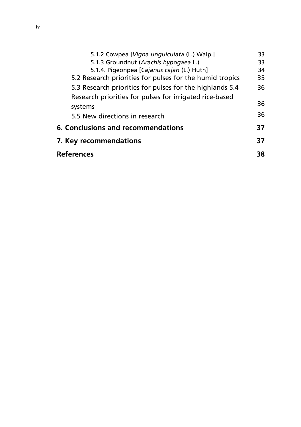| 5.1.2 Cowpea [Vigna unguiculata (L.) Walp.]              | 33 |
|----------------------------------------------------------|----|
| 5.1.3 Groundnut (Arachis hypogaea L.)                    | 33 |
| 5.1.4. Pigeonpea [Cajanus cajan (L.) Huth]               | 34 |
| 5.2 Research priorities for pulses for the humid tropics | 35 |
| 5.3 Research priorities for pulses for the highlands 5.4 | 36 |
| Research priorities for pulses for irrigated rice-based  |    |
|                                                          | 36 |
| systems                                                  |    |
| 5.5 New directions in research                           | 36 |
| 6. Conclusions and recommendations                       | 37 |
| 7. Key recommendations                                   | 37 |
| <b>References</b>                                        | 38 |
|                                                          |    |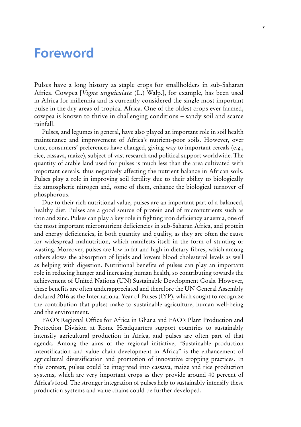### **Foreword**

Pulses have a long history as staple crops for smallholders in sub-Saharan Africa. Cowpea [*Vigna unguiculata* (L.) Walp.], for example, has been used in Africa for millennia and is currently considered the single most important pulse in the dry areas of tropical Africa. One of the oldest crops ever farmed, cowpea is known to thrive in challenging conditions – sandy soil and scarce rainfall.

Pulses, and legumes in general, have also played an important role in soil health maintenance and improvement of Africa's nutrient-poor soils. However, over time, consumers' preferences have changed, giving way to important cereals (e.g., rice, cassava, maize), subject of vast research and political support worldwide. The quantity of arable land used for pulses is much less than the area cultivated with important cereals, thus negatively affecting the nutrient balance in African soils. Pulses play a role in improving soil fertility due to their ability to biologically fix atmospheric nitrogen and, some of them, enhance the biological turnover of phosphorous.

Due to their rich nutritional value, pulses are an important part of a balanced, healthy diet. Pulses are a good source of protein and of micronutrients such as iron and zinc. Pulses can play a key role in fighting iron deficiency anaemia, one of the most important micronutrient deficiencies in sub-Saharan Africa, and protein and energy deficiencies, in both quantity and quality, as they are often the cause for widespread malnutrition, which manifests itself in the form of stunting or wasting. Moreover, pulses are low in fat and high in dietary fibres, which among others slows the absorption of lipids and lowers blood cholesterol levels as well as helping with digestion. Nutritional benefits of pulses can play an important role in reducing hunger and increasing human health, so contributing towards the achievement of United Nations (UN) Sustainable Development Goals. However, these benefits are often underappreciated and therefore the UN General Assembly declared 2016 as the International Year of Pulses (IYP), which sought to recognize the contribution that pulses make to sustainable agriculture, human well-being and the environment.

FAO's Regional Office for Africa in Ghana and FAO's Plant Production and Protection Division at Rome Headquarters support countries to sustainably intensify agricultural production in Africa, and pulses are often part of that agenda. Among the aims of the regional initiative, "Sustainable production intensification and value chain development in Africa" is the enhancement of agricultural diversification and promotion of innovative cropping practices. In this context, pulses could be integrated into cassava, maize and rice production systems, which are very important crops as they provide around 40 percent of Africa's food. The stronger integration of pulses help to sustainably intensify these production systems and value chains could be further developed.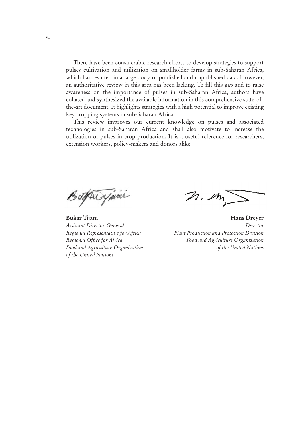There have been considerable research efforts to develop strategies to support pulses cultivation and utilization on smallholder farms in sub-Saharan Africa, which has resulted in a large body of published and unpublished data. However, an authoritative review in this area has been lacking. To fill this gap and to raise awareness on the importance of pulses in sub-Saharan Africa, authors have collated and synthesized the available information in this comprehensive state-ofthe-art document. It highlights strategies with a high potential to improve existing key cropping systems in sub-Saharan Africa.

This review improves our current knowledge on pulses and associated technologies in sub-Saharan Africa and shall also motivate to increase the utilization of pulses in crop production. It is a useful reference for researchers, extension workers, policy-makers and donors alike.

Bafferdymm

**Bukar Tijani** *Assistant Director-General Regional Representative for Africa Regional Office for Africa Food and Agriculture Organization of the United Nations*

 $\mathbb{Z}$ ,  $\mathbb{Z}$ 

**Hans Dreyer** *Director Plant Production and Protection Division Food and Agriculture Organization of the United Nations*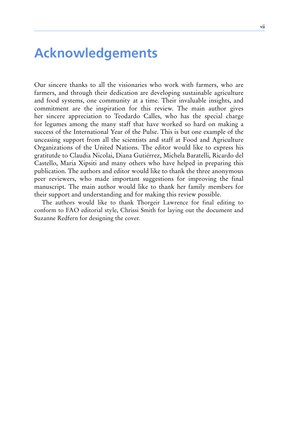### **Acknowledgements**

Our sincere thanks to all the visionaries who work with farmers, who are farmers, and through their dedication are developing sustainable agriculture and food systems, one community at a time. Their invaluable insights, and commitment are the inspiration for this review. The main author gives her sincere appreciation to Teodardo Calles, who has the special charge for legumes among the many staff that have worked so hard on making a success of the International Year of the Pulse. This is but one example of the unceasing support from all the scientists and staff at Food and Agriculture Organizations of the United Nations. The editor would like to express his gratitutde to Claudia Nicolai, Diana Gutiérrez, Michela Baratelli, Ricardo del Castello, Maria Xipsiti and many others who have helped in preparing this publication. The authors and editor would like to thank the three anonymous peer reviewers, who made important suggestions for improving the final manuscript. The main author would like to thank her family members for their support and understanding and for making this review possible.

The authors would like to thank Thorgeir Lawrence for final editing to conform to FAO editorial style, Chrissi Smith for laying out the document and Suzanne Redfern for designing the cover.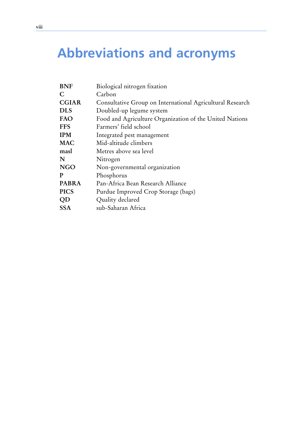# **Abbreviations and acronyms**

| <b>BNF</b>   | Biological nitrogen fixation                              |
|--------------|-----------------------------------------------------------|
| C            | Carbon                                                    |
| <b>CGIAR</b> | Consultative Group on International Agricultural Research |
| <b>DLS</b>   | Doubled-up legume system                                  |
| FAO          | Food and Agriculture Organization of the United Nations   |
| <b>FFS</b>   | Farmers' field school                                     |
| <b>IPM</b>   | Integrated pest management                                |
| <b>MAC</b>   | Mid-altitude climbers                                     |
| masl         | Metres above sea level                                    |
| N            | Nitrogen                                                  |
| <b>NGO</b>   | Non-governmental organization                             |
| P            | Phosphorus                                                |
| <b>PABRA</b> | Pan-Africa Bean Research Alliance                         |
| <b>PICS</b>  | Purdue Improved Crop Storage (bags)                       |
| QD           | Quality declared                                          |
| <b>SSA</b>   | sub-Saharan Africa                                        |
|              |                                                           |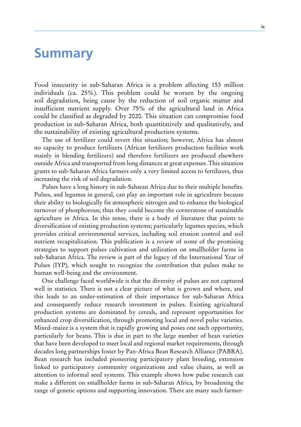### **Summary**

Food insecurity in sub-Saharan Africa is a problem affecting 153 million individuals (ca. 25%). This problem could be worsen by the ongoing soil degradation, being cause by the reduction of soil organic matter and insufficient nutrient supply. Over 75% of the agricultural land in Africa could be classified as degraded by 2020. This situation can compromise food production in sub-Saharan Africa, both quantitatively and qualitatively, and the sustainability of existing agricultural production systems.

The use of fertilizer could revert this situation; however, Africa has almost no capacity to produce fertilizers (African fertilizers production facilities work mainly in blending fertilizers) and therefore fertilizers are produced elsewhere outside Africa and transported from long distances at great expenses. This situation grants to sub-Saharan Africa farmers only a very limited access to fertilizers, thus increasing the risk of soil degradation.

Pulses have a long history in sub-Saharan Africa due to their multiple benefits. Pulses, and legumes in general, can play an important role in agriculture because their ability to biologically fix atmospheric nitrogen and to enhance the biological turnover of phosphorous; thus they could become the cornerstone of sustainable agriculture in Africa. In this sense, there is a body of literature that points to diversification of existing production systems; particularly legumes species, which provides critical environmental services, including soil erosion control and soil nutrient recapitalization. This publication is a review of some of the promising strategies to support pulses cultivation and utilization on smallholder farms in sub-Saharan Africa. The review is part of the legacy of the International Year of Pulses (IYP), which sought to recognize the contribution that pulses make to human well-being and the environment.

One challenge faced worldwide is that the diversity of pulses are not captured well in statistics. There is not a clear picture of what is grown and where, and this leads to an under-estimation of their importance for sub-Saharan Africa and consequently reduce research investment in pulses. Existing agricultural production systems are dominated by cereals, and represent opportunities for enhanced crop diversification, through promoting local and novel pulse varieties. Mixed-maize is a system that is rapidly growing and poses one such opportunity, particularly for beans. This is due in part to the large number of bean varieties that have been developed to meet local and regional market requirements, through decades long partnerships foster by Pan-Africa Bean Research Alliance (PABRA). Bean research has included pioneering participatory plant breeding, extension linked to participatory community organizations and value chains, as well as attention to informal seed systems. This example shows how pulse research can make a different on smallholder farms in sub-Saharan Africa, by broadening the range of genetic options and supporting innovation. There are many such farmer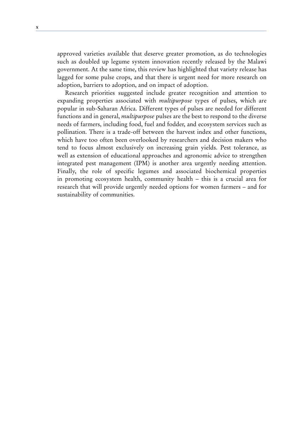approved varieties available that deserve greater promotion, as do technologies such as doubled up legume system innovation recently released by the Malawi government. At the same time, this review has highlighted that variety release has lagged for some pulse crops, and that there is urgent need for more research on adoption, barriers to adoption, and on impact of adoption.

Research priorities suggested include greater recognition and attention to expanding properties associated with *multipurpose* types of pulses, which are popular in sub-Saharan Africa. Different types of pulses are needed for different functions and in general, *multipurpose* pulses are the best to respond to the diverse needs of farmers, including food, fuel and fodder, and ecosystem services such as pollination. There is a trade-off between the harvest index and other functions, which have too often been overlooked by researchers and decision makers who tend to focus almost exclusively on increasing grain yields. Pest tolerance, as well as extension of educational approaches and agronomic advice to strengthen integrated pest management (IPM) is another area urgently needing attention. Finally, the role of specific legumes and associated biochemical properties in promoting ecosystem health, community health – this is a crucial area for research that will provide urgently needed options for women farmers – and for sustainability of communities.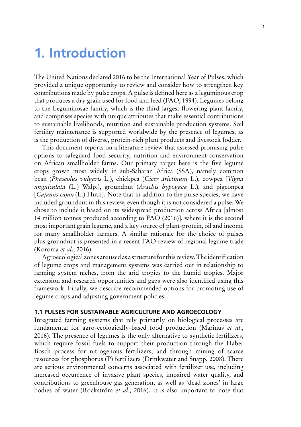## **1. Introduction**

The United Nations declared 2016 to be the International Year of Pulses, which provided a unique opportunity to review and consider how to strengthen key contributions made by pulse crops. A pulse is defined here as a leguminous crop that produces a dry grain used for food and feed (FAO, 1994). Legumes belong to the Leguminosae family, which is the third-largest flowering plant family, and comprises species with unique attributes that make essential contributions to sustainable livelihoods, nutrition and sustainable production systems. Soil fertility maintenance is supported worldwide by the presence of legumes, as is the production of diverse, protein-rich plant products and livestock fodder.

This document reports on a literature review that assessed promising pulse options to safeguard food security, nutrition and environment conservation on African smallholder farms. Our primary target here is the five legume crops grown most widely in sub-Saharan Africa (SSA), namely common bean (*Phaseolus vulgaris* L.), chickpea (*Cicer arietinum* L.), cowpea [*Vigna unguiculata* (L.) Walp.], groundnut (*Arachis hypogaea* L.), and pigeonpea [*Cajanus cajan* (L.) Huth]. Note that in addition to the pulse species, we have included groundnut in this review, even though it is not considered a pulse. We chose to include it based on its widespread production across Africa [almost 14 million tonnes produced according to FAO (2016)], where it is the second most important grain legume, and a key source of plant-protein, oil and income for many smallholder farmers. A similar rationale for the choice of pulses plus groundnut is presented in a recent FAO review of regional legume trade (Koroma *et al*., 2016).

Agroecological zones are used as a structure for this review. The identification of legume crops and management systems was carried out in relationship to farming system niches, from the arid tropics to the humid tropics. Major extension and research opportunities and gaps were also identified using this framework. Finally, we describe recommended options for promoting use of legume crops and adjusting government policies.

#### **1.1 Pulses for sustainable agriculture and agroecology**

Integrated farming systems that rely primarily on biological processes are fundamental for agro-ecologically-based food production (Marinus *et al*., 2016). The presence of legumes is the only alternative to synthetic fertilizers, which require fossil fuels to support their production through the Haber Bosch process for nitrogenous fertilizers, and through mining of scarce resources for phosphorus (P) fertilizers (Drinkwater and Snapp, 2008). There are serious environmental concerns associated with fertilizer use, including increased occurrence of invasive plant species, impaired water quality, and contributions to greenhouse gas generation, as well as 'dead zones' in large bodies of water (Rockström *et al.*, 2016). It is also important to note that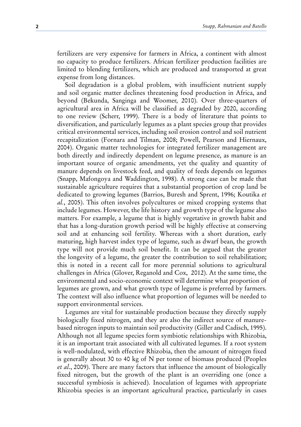fertilizers are very expensive for farmers in Africa, a continent with almost no capacity to produce fertilizers. African fertilizer production facilities are limited to blending fertilizers, which are produced and transported at great expense from long distances.

Soil degradation is a global problem, with insufficient nutrient supply and soil organic matter declines threatening food production in Africa, and beyond (Bekunda, Sanginga and Woomer, 2010). Over three-quarters of agricultural area in Africa will be classified as degraded by 2020, according to one review (Scherr, 1999). There is a body of literature that points to diversification, and particularly legumes as a plant species group that provides critical environmental services, including soil erosion control and soil nutrient recapitalization (Fornara and Tilman, 2008; Powell, Pearson and Hiernaux, 2004). Organic matter technologies for integrated fertilizer management are both directly and indirectly dependent on legume presence, as manure is an important source of organic amendments, yet the quality and quantity of manure depends on livestock feed, and quality of feeds depends on legumes (Snapp, Mafongoya and Waddington, 1998). A strong case can be made that sustainable agriculture requires that a substantial proportion of crop land be dedicated to growing legumes (Barrios, Buresh and Sprent, 1996; Koutika *et al.*, 2005). This often involves polycultures or mixed cropping systems that include legumes. However, the life history and growth type of the legume also matters. For example, a legume that is highly vegetative in growth habit and that has a long-duration growth period will be highly effective at conserving soil and at enhancing soil fertility. Whereas with a short duration, early maturing, high harvest index type of legume, such as dwarf bean, the growth type will not provide much soil benefit. It can be argued that the greater the longevity of a legume, the greater the contribution to soil rehabilitation; this is noted in a recent call for more perennial solutions to agricultural challenges in Africa (Glover, Reganold and Cox, 2012). At the same time, the environmental and socio-economic context will determine what proportion of legumes are grown, and what growth type of legume is preferred by farmers. The context will also influence what proportion of legumes will be needed to support environmental services.

Legumes are vital for sustainable production because they directly supply biologically fixed nitrogen, and they are also the indirect source of manurebased nitrogen inputs to maintain soil productivity (Giller and Cadisch, 1995). Although not all legume species form symbiotic relationships with Rhizobia, it is an important trait associated with all cultivated legumes. If a root system is well-nodulated, with effective Rhizobia, then the amount of nitrogen fixed is generally about 30 to 40 kg of N per tonne of biomass produced (Peoples *et al*., 2009). There are many factors that influence the amount of biologically fixed nitrogen, but the growth of the plant is an overriding one (once a successful symbiosis is achieved). Inoculation of legumes with appropriate Rhizobia species is an important agricultural practice, particularly in cases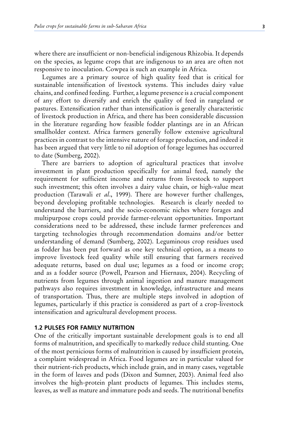where there are insufficient or non-beneficial indigenous Rhizobia. It depends on the species, as legume crops that are indigenous to an area are often not responsive to inoculation. Cowpea is such an example in Africa.

Legumes are a primary source of high quality feed that is critical for sustainable intensification of livestock systems. This includes dairy value chains, and confined feeding. Further, a legume presence is a crucial component of any effort to diversify and enrich the quality of feed in rangeland or pastures. Extensification rather than intensification is generally characteristic of livestock production in Africa, and there has been considerable discussion in the literature regarding how feasible fodder plantings are in an African smallholder context. Africa farmers generally follow extensive agricultural practices in contrast to the intensive nature of forage production, and indeed it has been argued that very little to nil adoption of forage legumes has occurred to date (Sumberg, 2002).

There are barriers to adoption of agricultural practices that involve investment in plant production specifically for animal feed, namely the requirement for sufficient income and returns from livestock to support such investment; this often involves a dairy value chain, or high-value meat production (Tarawali *et al*., 1999). There are however further challenges, beyond developing profitable technologies. Research is clearly needed to understand the barriers, and the socio-economic niches where forages and multipurpose crops could provide farmer-relevant opportunities. Important considerations need to be addressed, these include farmer preferences and targeting technologies through recommendation domains and/or better understanding of demand (Sumberg, 2002). Leguminous crop residues used as fodder has been put forward as one key technical option, as a means to improve livestock feed quality while still ensuring that farmers received adequate returns, based on dual use; legumes as a food or income crop; and as a fodder source (Powell, Pearson and Hiernaux, 2004). Recycling of nutrients from legumes through animal ingestion and manure management pathways also requires investment in knowledge, infrastructure and means of transportation. Thus, there are multiple steps involved in adoption of legumes, particularly if this practice is considered as part of a crop-livestock intensification and agricultural development process.

#### **1.2 Pulses for family nutrition**

One of the critically important sustainable development goals is to end all forms of malnutrition, and specifically to markedly reduce child stunting. One of the most pernicious forms of malnutrition is caused by insufficient protein, a complaint widespread in Africa. Food legumes are in particular valued for their nutrient-rich products, which include grain, and in many cases, vegetable in the form of leaves and pods (Dixon and Sumner, 2003). Animal feed also involves the high-protein plant products of legumes. This includes stems, leaves, as well as mature and immature pods and seeds. The nutritional benefits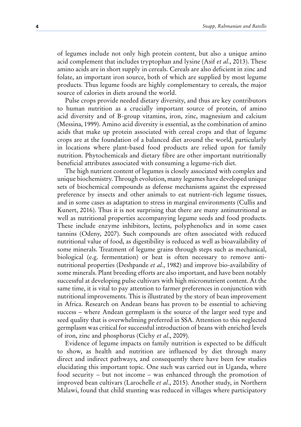of legumes include not only high protein content, but also a unique amino acid complement that includes tryptophan and lysine (Asif *et al*., 2013). These amino acids are in short supply in cereals. Cereals are also deficient in zinc and folate, an important iron source, both of which are supplied by most legume products. Thus legume foods are highly complementary to cereals, the major source of calories in diets around the world.

Pulse crops provide needed dietary diversity, and thus are key contributors to human nutrition as a crucially important source of protein, of amino acid diversity and of B-group vitamins, iron, zinc, magnesium and calcium (Messina, 1999). Amino acid diversity is essential, as the combination of amino acids that make up protein associated with cereal crops and that of legume crops are at the foundation of a balanced diet around the world, particularly in locations where plant-based food products are relied upon for family nutrition. Phytochemicals and dietary fibre are other important nutritionally beneficial attributes associated with consuming a legume-rich diet.

The high nutrient content of legumes is closely associated with complex and unique biochemistry. Through evolution, many legumes have developed unique sets of biochemical compounds as defense mechanisms against the expressed preference by insects and other animals to eat nutrient-rich legume tissues, and in some cases as adaptation to stress in marginal environments (Cullis and Kunert, 2016). Thus it is not surprising that there are many antinutritional as well as nutritional properties accompanying legume seeds and food products. These include enzyme inhibitors, lectins, polyphenolics and in some cases tannins (Odeny, 2007). Such compounds are often associated with reduced nutritional value of food, as digestibility is reduced as well as bioavailability of some minerals. Treatment of legume grains through steps such as mechanical, biological (e.g. fermentation) or heat is often necessary to remove antinutritional properties (Deshpande *et al.*, 1982) and improve bio-availability of some minerals. Plant breeding efforts are also important, and have been notably successful at developing pulse cultivars with high micronutrient content. At the same time, it is vital to pay attention to farmer preferences in conjunction with nutritional improvements. This is illustrated by the story of bean improvement in Africa. Research on Andean beans has proven to be essential to achieving success – where Andean germplasm is the source of the larger seed type and seed quality that is overwhelming preferred in SSA. Attention to this neglected germplasm was critical for successful introduction of beans with enriched levels of iron, zinc and phosphorus (Cichy *et al*., 2009).

Evidence of legume impacts on family nutrition is expected to be difficult to show, as health and nutrition are influenced by diet through many direct and indirect pathways, and consequently there have been few studies elucidating this important topic. One such was carried out in Uganda, where food security – but not income – was enhanced through the promotion of improved bean cultivars (Larochelle *et al*., 2015). Another study, in Northern Malawi, found that child stunting was reduced in villages where participatory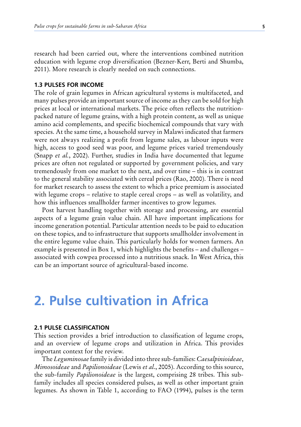research had been carried out, where the interventions combined nutrition education with legume crop diversification (Bezner-Kerr, Berti and Shumba, 2011). More research is clearly needed on such connections.

#### **1.3 Pulses for income**

The role of grain legumes in African agricultural systems is multifaceted, and many pulses provide an important source of income as they can be sold for high prices at local or international markets. The price often reflects the nutritionpacked nature of legume grains, with a high protein content, as well as unique amino acid complements, and specific biochemical compounds that vary with species. At the same time, a household survey in Malawi indicated that farmers were not always realizing a profit from legume sales, as labour inputs were high, access to good seed was poor, and legume prices varied tremendously (Snapp *et al.*, 2002). Further, studies in India have documented that legume prices are often not regulated or supported by government policies, and vary tremendously from one market to the next, and over time – this is in contrast to the general stability associated with cereal prices (Rao, 2000). There is need for market research to assess the extent to which a price premium is associated with legume crops – relative to staple cereal crops – as well as volatility, and how this influences smallholder farmer incentives to grow legumes.

Post harvest handling together with storage and processing, are essential aspects of a legume grain value chain. All have important implications for income generation potential. Particular attention needs to be paid to education on these topics, and to infrastructure that supports smallholder involvement in the entire legume value chain. This particularly holds for women farmers. An example is presented in Box 1, which highlights the benefits – and challenges – associated with cowpea processed into a nutritious snack. In West Africa, this can be an important source of agricultural-based income.

### **2. Pulse cultivation in Africa**

#### **2.1 Pulse classification**

This section provides a brief introduction to classification of legume crops, and an overview of legume crops and utilization in Africa. This provides important context for the review.

The *Leguminosae* family is divided into three sub-families: *Caesalpinioideae*, *Mimosoideae* and *Papilionoideae* (Lewis *et al*., 2005). According to this source, the sub-family *Papilionoideae* is the largest, comprising 28 tribes. This subfamily includes all species considered pulses, as well as other important grain legumes. As shown in Table 1, according to FAO (1994), pulses is the term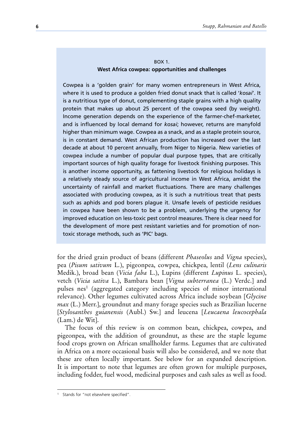#### Box 1. **West Africa cowpea: opportunities and challenges**

Cowpea is a 'golden grain' for many women entrepreneurs in West Africa, where it is used to produce a golden fried donut snack that is called '*kosai*'. It is a nutritious type of donut, complementing staple grains with a high quality protein that makes up about 25 percent of the cowpea seed (by weight). Income generation depends on the experience of the farmer-chef-marketer, and is influenced by local demand for *kosai*; however, returns are manyfold higher than minimum wage. Cowpea as a snack, and as a staple protein source, is in constant demand. West African production has increased over the last decade at about 10 percent annually, from Niger to Nigeria. New varieties of cowpea include a number of popular dual purpose types, that are critically important sources of high quality forage for livestock finishing purposes. This is another income opportunity, as fattening livestock for religious holidays is a relatively steady source of agricultural income in West Africa, amidst the uncertainty of rainfall and market fluctuations. There are many challenges associated with producing cowpea, as it is such a nutritious treat that pests such as aphids and pod borers plague it. Unsafe levels of pesticide residues in cowpea have been shown to be a problem, underlying the urgency for improved education on less-toxic pest control measures. There is clear need for the development of more pest resistant varieties and for promotion of nontoxic storage methods, such as 'PIC' bags.

for the dried grain product of beans (different *Phaseolus* and *Vigna* species), pea (*Pisum sativum* L*.*), pigeonpea, cowpea, chickpea, lentil (*Lens culinaris*  Medik.), broad bean (*Vicia faba* L.), Lupins (different *Lupinus* L. species), vetch (*Vicia sativa* L.), Bambara bean [*Vigna subterranea* (L.) Verdc.] and pulses nes1 (aggregated category including species of minor international relevance). Other legumes cultivated across Africa include soybean [*Glycine max* (L.) Merr.], groundnut and many forage species such as Brazilian lucerne [*Stylosanthes guianensis* (Aubl.) Sw.] and leucena [*Leucaena leucocephala* (Lam.) de Wit].

The focus of this review is on common bean, chickpea, cowpea, and pigeonpea, with the addition of groundnut, as these are the staple legume food crops grown on African smallholder farms. Legumes that are cultivated in Africa on a more occasional basis will also be considered, and we note that these are often locally important. See below for an expanded description. It is important to note that legumes are often grown for multiple purposes, including fodder, fuel wood, medicinal purposes and cash sales as well as food.

<sup>1</sup> Stands for "not elsewhere specified".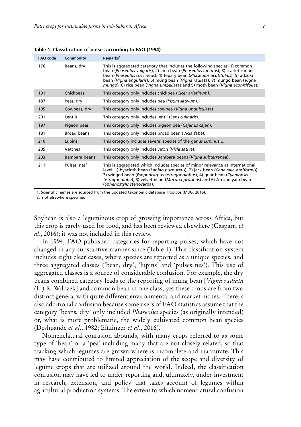| <b>FAO</b> code | Commodity                | Remarks <sup>1</sup>                                                                                                                                                                                                                                                                                                                                                                                                                   |
|-----------------|--------------------------|----------------------------------------------------------------------------------------------------------------------------------------------------------------------------------------------------------------------------------------------------------------------------------------------------------------------------------------------------------------------------------------------------------------------------------------|
| 176             | Beans, dry               | This is aggregated category that includes the following species: 1) common<br>bean (Phaseolus vulgaris), 2) lima bean (Phaseolus lunatus), 3) scarlet runner<br>bean (Phaseolus coccineus), 4) tepary bean (Phaseolus acutifolius), 5) adzuki<br>bean ( <i>Vigna angularis</i> ), 6) mung bean ( <i>Vigna radiata</i> ), 7) mungo bean ( <i>Vigna</i><br>mungo), 8) rice bean (Vigna umbellata) and 9) moth bean (Vigna aconitifolia). |
| 191             | Chickpeas                | This category only includes chickpea (Cicer arietinum).                                                                                                                                                                                                                                                                                                                                                                                |
| 187             | Peas, dry                | This category only includes pea (Pisum sativum).                                                                                                                                                                                                                                                                                                                                                                                       |
| 195             | Cowpeas, dry             | This category only includes cowpea (Vigna unquiculata).                                                                                                                                                                                                                                                                                                                                                                                |
| 201             | Lentils                  | This category only includes lentil (Lens culinaris).                                                                                                                                                                                                                                                                                                                                                                                   |
| 197             | Pigeon peas              | This category only includes pigeon pea (Cajanus cajan).                                                                                                                                                                                                                                                                                                                                                                                |
| 181             | Broad beans              | This category only includes broad bean (Vicia faba).                                                                                                                                                                                                                                                                                                                                                                                   |
| 210             | Lupins                   | This category includes several species of the genus Lupinus L.                                                                                                                                                                                                                                                                                                                                                                         |
| 205             | Vetches                  | This category only includes vetch (Vicia sativa).                                                                                                                                                                                                                                                                                                                                                                                      |
| 203             | Bambara beans            | This category only includes Bambara beans (Vigna subterranea).                                                                                                                                                                                                                                                                                                                                                                         |
| 211             | Pulses, nes <sup>2</sup> | This is aggregated which includes species of minor relevance at international<br>level: 1) hyacinth bean (Lablab purpureus), 2) jack bean (Canavalia ensiformis),<br>3) winged bean (Psophocarpus tetragonolobus), 4) quar bean (Cyamopsis<br>tetragonoloba), 5) velvet bean (Mucuna pruriens) and 6) African yam bean<br>(Sphenostylis stenocarpa).                                                                                   |

**Table 1. Classification of pulses according to FAO (1994)**

1. Scientific names are sourced from the updated taxonomic database Tropicos (MBG, 2016).

2. `not elsewhere specified´.

Soybean is also a leguminous crop of growing importance across Africa, but this crop is rarely used for food, and has been reviewed elsewhere (Gasparri *et al*., 2016); it was not included in this review.

In 1994, FAO published categories for reporting pulses, which have not changed in any substantive manner since (Table 1). This classification system includes eight clear cases, where species are reported as a unique species, and three aggregated classes ('bean, dry', 'lupins' and 'pulses nes'). This use of aggregated classes is a source of considerable confusion. For example, the dry beans combined category leads to the reporting of mung bean [*Vigna radiata* (L.) R. Wilczek] and common bean in one class, yet these crops are from two distinct genera, with quite different environmental and market niches. There is also additional confusion because some users of FAO statistics assume that the category 'beans, dry' only included *Phaseolus* species (as originally intended) or, what is more problematic, the widely cultivated common bean species (Deshpande *et al*., 1982; Eitzinger *et al*., 2016).

Nomenclatural confusion abounds, with many crops referred to as some type of 'bean' or a 'pea' including many that are not closely related, so that tracking which legumes are grown where is incomplete and inaccurate. This may have contributed to limited appreciation of the scope and diversity of legume crops that are utilized around the world. Indeed, the classification confusion may have led to under-reporting and, ultimately, under-investment in research, extension, and policy that takes account of legumes within agricultural production systems. The extent to which nomenclatural confusion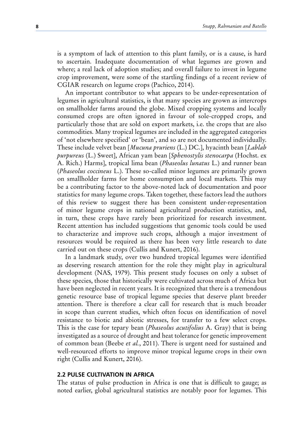is a symptom of lack of attention to this plant family, or is a cause, is hard to ascertain. Inadequate documentation of what legumes are grown and where; a real lack of adoption studies; and overall failure to invest in legume crop improvement, were some of the startling findings of a recent review of CGIAR research on legume crops (Pachico, 2014).

An important contributor to what appears to be under-representation of legumes in agricultural statistics, is that many species are grown as intercrops on smallholder farms around the globe. Mixed cropping systems and locally consumed crops are often ignored in favour of sole-cropped crops, and particularly those that are sold on export markets, i.e. the crops that are also commodities. Many tropical legumes are included in the aggregated categories of 'not elsewhere specified' or 'bean', and so are not documented individually. These include velvet bean [*Mucuna pruriens* (L.) DC.], hyacinth bean [*Lablab purpureus* (L.) Sweet], African yam bean [*Sphenostylis stenocarpa* (Hochst. ex A. Rich.) Harms], tropical lima bean (*Phaseolus lunatus* L.) and runner bean (*Phaseolus coccineus* L.). These so-called minor legumes are primarily grown on smallholder farms for home consumption and local markets. This may be a contributing factor to the above-noted lack of documentation and poor statistics for many legume crops. Taken together, these factors lead the authors of this review to suggest there has been consistent under-representation of minor legume crops in national agricultural production statistics, and, in turn, these crops have rarely been prioritized for research investment. Recent attention has included suggestions that genomic tools could be used to characterize and improve such crops, although a major investment of resources would be required as there has been very little research to date carried out on these crops (Cullis and Kunert, 2016).

In a landmark study, over two hundred tropical legumes were identified as deserving research attention for the role they might play in agricultural development (NAS, 1979). This present study focuses on only a subset of these species, those that historically were cultivated across much of Africa but have been neglected in recent years. It is recognized that there is a tremendous genetic resource base of tropical legume species that deserve plant breeder attention. There is therefore a clear call for research that is much broader in scope than current studies, which often focus on identification of novel resistance to biotic and abiotic stresses, for transfer to a few select crops. This is the case for tepary bean (*Phaseolus acutifolius* A. Gray) that is being investigated as a source of drought and heat tolerance for genetic improvement of common bean (Beebe *et al.*, 2011). There is urgent need for sustained and well-resourced efforts to improve minor tropical legume crops in their own right (Cullis and Kunert, 2016).

#### **2.2 Pulse cultivation in Africa**

The status of pulse production in Africa is one that is difficult to gauge; as noted earlier, global agricultural statistics are notably poor for legumes. This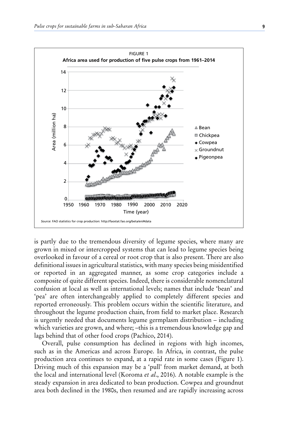

is partly due to the tremendous diversity of legume species, where many are grown in mixed or intercropped systems that can lead to legume species being overlooked in favour of a cereal or root crop that is also present. There are also definitional issues in agricultural statistics, with many species being misidentified or reported in an aggregated manner, as some crop categories include a composite of quite different species. Indeed, there is considerable nomenclatural confusion at local as well as international levels; names that include 'bean' and 'pea' are often interchangeably applied to completely different species and reported erroneously. This problem occurs within the scientific literature, and throughout the legume production chain, from field to market place. Research is urgently needed that documents legume germplasm distribution – including which varieties are grown, and where; –this is a tremendous knowledge gap and lags behind that of other food crops (Pachico, 2014).

Overall, pulse consumption has declined in regions with high incomes, such as in the Americas and across Europe. In Africa, in contrast, the pulse production area continues to expand, at a rapid rate in some cases (Figure 1). Driving much of this expansion may be a 'pull' from market demand, at both the local and international level (Koroma *et al*., 2016). A notable example is the steady expansion in area dedicated to bean production. Cowpea and groundnut area both declined in the 1980s, then resumed and are rapidly increasing across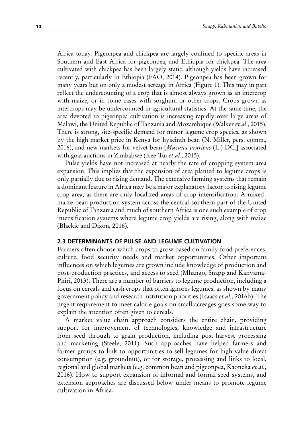Africa today. Pigeonpea and chickpea are largely confined to specific areas in Southern and East Africa for pigeonpea, and Ethiopia for chickpea. The area cultivated with chickpea has been largely static, although yields have increased recently, particularly in Ethiopia (FAO, 2014). Pigeonpea has been grown for many years but on only a modest acreage in Africa (Figure 1). This may in part reflect the undercounting of a crop that is almost always grown as an intercrop with maize, or in some cases with sorghum or other crops. Crops grown as intercrops may be undercounted in agricultural statistics. At the same time, the area devoted to pigeonpea cultivation is increasing rapidly over large areas of Malawi, the United Republic of Tanzania and Mozambique (Walker *et al*., 2015). There is strong, site-specific demand for minor legume crop species, as shown by the high market price in Kenya for hyacinth bean (N. Miller, pers. comm., 2016), and new markets for velvet bean [*Mucuna pruriens* (L.) DC.] associated with goat auctions in Zimbabwe (Kee-Tui *et al*., 2015).

Pulse yields have not increased at nearly the rate of cropping system area expansion. This implies that the expansion of area planted to legume crops is only partially due to rising demand. The extensive farming systems that remain a dominant feature in Africa may be a major explanatory factor to rising legume crop area, as there are only localized areas of crop intensification. A mixedmaize-bean production system across the central-southern part of the United Republic of Tanzania and much of southern Africa is one such example of crop intensification systems where legume crop yields are rising, along with maize (Blackie and Dixon, 2016).

#### **2.3 Determinants of pulse and legume cultivation**

Farmers often choose which crops to grow based on family food preferences, culture, food security needs and market opportunities. Other important influences on which legumes are grown include knowledge of production and post-production practices, and access to seed (Mhango, Snapp and Kanyama-Phiri, 2013). There are a number of barriers to legume production, including a focus on cereals and cash crops that often ignores legumes, as shown by many government policy and research institution priorities (Isaacs *et al.*, 2016b). The urgent requirement to meet calorie goals on small acreages goes some way to explain the attention often given to cereals.

A market value chain approach considers the entire chain, providing support for improvement of technologies, knowledge and infrastructure from seed through to grain production, including post-harvest processing and marketing (Steele, 2011). Such approaches have helped farmers and farmer groups to link to opportunities to sell legumes for high value direct consumption (e.g. groundnut), or for storage, processing and links to local, regional and global markets (e.g. common bean and pigeonpea, Kaoneka *et al.,* 2016). How to support expansion of informal and formal seed systems, and extension approaches are discussed below under means to promote legume cultivation in Africa.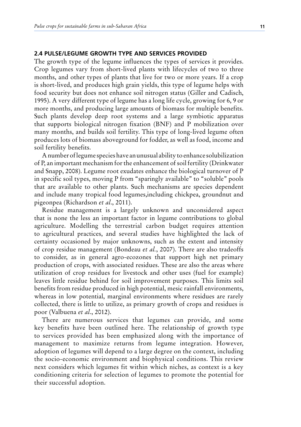#### **2.4 Pulse/legume growth type and services provided**

The growth type of the legume influences the types of services it provides. Crop legumes vary from short-lived plants with lifecycles of two to three months, and other types of plants that live for two or more years. If a crop is short-lived, and produces high grain yields, this type of legume helps with food security but does not enhance soil nitrogen status (Giller and Cadisch, 1995). A very different type of legume has a long life cycle, growing for 6, 9 or more months, and producing large amounts of biomass for multiple benefits. Such plants develop deep root systems and a large symbiotic apparatus that supports biological nitrogen fixation (BNF) and P mobilization over many months, and builds soil fertility. This type of long-lived legume often produces lots of biomass aboveground for fodder, as well as food, income and soil fertility benefits.

A number of legume species have an unusual ability to enhance solubilization of P, an important mechanism for the enhancement of soil fertility (Drinkwater and Snapp, 2008). Legume root exudates enhance the biological turnover of P in specific soil types, moving P from "sparingly available" to "soluble" pools that are available to other plants. Such mechanisms are species dependent and include many tropical food legumes,including chickpea, groundnut and pigeonpea (Richardson *et al*., 2011).

Residue management is a largely unknown and unconsidered aspect that is none the less an important factor in legume contributions to global agriculture. Modelling the terrestrial carbon budget requires attention to agricultural practices, and several studies have highlighted the lack of certainty occasioned by major unknowns, such as the extent and intensity of crop residue management (Bondeau *et al.*, 2007). There are also tradeoffs to consider, as in general agro-ecozones that support high net primary production of crops, with associated residues. These are also the areas where utilization of crop residues for livestock and other uses (fuel for example) leaves little residue behind for soil improvement purposes. This limits soil benefits from residue produced in high potential, mesic rainfall environments, whereas in low potential, marginal environments where residues are rarely collected, there is little to utilize, as primary growth of crops and residues is poor (Valbuena *et al*., 2012).

There are numerous services that legumes can provide, and some key benefits have been outlined here. The relationship of growth type to services provided has been emphasized along with the importance of management to maximize returns from legume integration. However, adoption of legumes will depend to a large degree on the context, including the socio-economic environment and biophysical conditions. This review next considers which legumes fit within which niches, as context is a key conditioning criteria for selection of legumes to promote the potential for their successful adoption.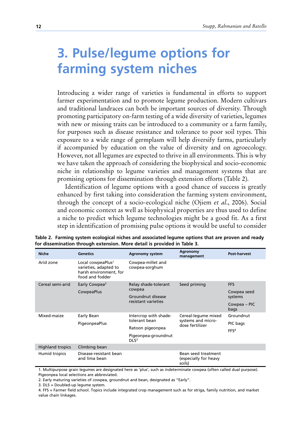# **3. Pulse/legume options for farming system niches**

Introducing a wider range of varieties is fundamental in efforts to support farmer experimentation and to promote legume production. Modern cultivars and traditional landraces can both be important sources of diversity. Through promoting participatory on-farm testing of a wide diversity of varieties, legumes with new or missing traits can be introduced to a community or a farm family, for purposes such as disease resistance and tolerance to poor soil types. This exposure to a wide range of germplasm will help diversify farms, particularly if accompanied by education on the value of diversity and on agroecology. However, not all legumes are expected to thrive in all environments. This is why we have taken the approach of considering the biophysical and socio-economic niche in relationship to legume varieties and management systems that are promising options for dissemination through extension efforts (Table 2).

Identification of legume options with a good chance of success is greatly enhanced by first taking into consideration the farming system environment, through the concept of a socio-ecological niche (Ojiem *et al*., 2006). Social and economic context as well as biophysical properties are thus used to define a niche to predict which legume technologies might be a good fit. As a first step in identification of promising pulse options it would be useful to consider

| <b>Niche</b>            | <b>Genetics</b>                                                                                     | <b>Agronomy system</b>                   | Agronomy<br>management                                       | Post-harvest         |  |
|-------------------------|-----------------------------------------------------------------------------------------------------|------------------------------------------|--------------------------------------------------------------|----------------------|--|
| Arid zone               | Local cowpeaPlus <sup>1</sup><br>varieties, adapted to<br>harsh environment, for<br>food and fodder | Cowpea-millet and<br>cowpea-sorghum      |                                                              |                      |  |
| Cereal semi-arid        | Early Cowpea <sup>2</sup>                                                                           | Relay shade-tolerant                     | Seed priming                                                 | <b>FFS</b>           |  |
|                         | CowpeaPlus                                                                                          | cowpea                                   |                                                              | Cowpea seed          |  |
|                         |                                                                                                     | Groundnut disease<br>resistant varieties |                                                              | systems              |  |
|                         |                                                                                                     |                                          |                                                              | Cowpea - PIC<br>bags |  |
| Mixed-maize             | Early Bean                                                                                          | Intercrop with shade-                    | Cereal-legume mixed<br>systems and micro-<br>dose fertilizer | Groundnut            |  |
|                         | PigeonpeaPlus                                                                                       | tolerant bean                            |                                                              | PIC bags             |  |
|                         |                                                                                                     | Ratoon pigeonpea                         |                                                              | FFS <sup>4</sup>     |  |
|                         |                                                                                                     | Pigeonpea-groundnut<br>DLS <sup>3</sup>  |                                                              |                      |  |
| <b>Highland tropics</b> | Climbing bean                                                                                       |                                          |                                                              |                      |  |
| Humid tropics           | Disease-resistant bean<br>and lima bean                                                             |                                          | Bean seed treatment<br>(especially for heavy<br>soils)       |                      |  |

**Table 2. Farming system ecological niches and associated legume options that are proven and ready for dissemination through extension. More detail is provided in Table 3.**

1. Multipurpose grain legumes are designated here as 'plus', such as indeterminate cowpea (often called dual purpose). Pigeonpea local selections are abbreviated.

2. Early maturing varieties of cowpea, groundnut and bean, designated as "Early".

3. DLS = Doubled-up legume system.

4. FFS = Farmer field school. Topics include integrated crop management such as for striga, family nutrition, and market value chain linkages.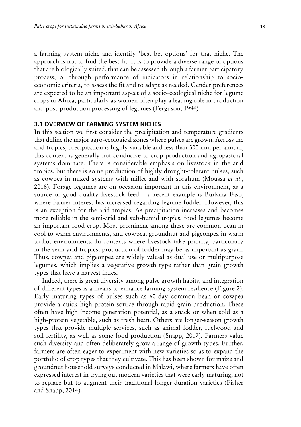a farming system niche and identify 'best bet options' for that niche. The approach is not to find the best fit. It is to provide a diverse range of options that are biologically suited, that can be assessed through a farmer participatory process, or through performance of indicators in relationship to socioeconomic criteria, to assess the fit and to adapt as needed. Gender preferences are expected to be an important aspect of a socio-ecological niche for legume crops in Africa, particularly as women often play a leading role in production and post-production processing of legumes (Ferguson, 1994).

#### **3.1 Overview of farming system niches**

In this section we first consider the precipitation and temperature gradients that define the major agro-ecological zones where pulses are grown. Across the arid tropics, precipitation is highly variable and less than 500 mm per annum; this context is generally not conducive to crop production and agropastoral systems dominate. There is considerable emphasis on livestock in the arid tropics, but there is some production of highly drought-tolerant pulses, such as cowpea in mixed systems with millet and with sorghum (Moussa *et al*., 2016). Forage legumes are on occasion important in this environment, as a source of good quality livestock feed – a recent example is Burkina Faso, where farmer interest has increased regarding legume fodder. However, this is an exception for the arid tropics. As precipitation increases and becomes more reliable in the semi-arid and sub-humid tropics, food legumes become an important food crop. Most prominent among these are common bean in cool to warm environments, and cowpea, groundnut and pigeonpea in warm to hot environments. In contexts where livestock take priority, particularly in the semi-arid tropics, production of fodder may be as important as grain. Thus, cowpea and pigeonpea are widely valued as dual use or multipurpose legumes, which implies a vegetative growth type rather than grain growth types that have a harvest index.

Indeed, there is great diversity among pulse growth habits, and integration of different types is a means to enhance farming system resilience (Figure 2). Early maturing types of pulses such as 60-day common bean or cowpea provide a quick high-protein source through rapid grain production. These often have high income generation potential, as a snack or when sold as a high-protein vegetable, such as fresh bean. Others are longer-season growth types that provide multiple services, such as animal fodder, fuelwood and soil fertility, as well as some food production (Snapp, 2017). Farmers value such diversity and often deliberately grow a range of growth types. Further, farmers are often eager to experiment with new varieties so as to expand the portfolio of crop types that they cultivate. This has been shown for maize and groundnut household surveys conducted in Malawi, where farmers have often expressed interest in trying out modern varieties that were early maturing, not to replace but to augment their traditional longer-duration varieties (Fisher and Snapp, 2014).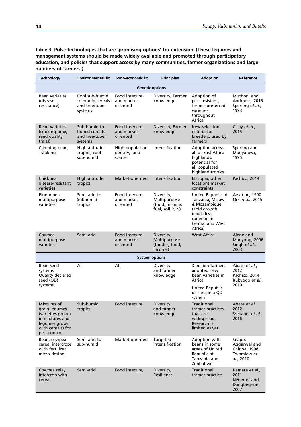**Table 3. Pulse technologies that are 'promising options' for extension. (These legumes and management systems should be made widely available and promoted through participatory education, and policies that support access by many communities, farmer organizations and large numbers of farmers.)**

| <b>Technology</b>                                                                                                         | <b>Environmental fit</b>                                        | Socio-economic fit                         | <b>Principles</b>                                                | <b>Adoption</b>                                                                                                                         | Reference                                                         |
|---------------------------------------------------------------------------------------------------------------------------|-----------------------------------------------------------------|--------------------------------------------|------------------------------------------------------------------|-----------------------------------------------------------------------------------------------------------------------------------------|-------------------------------------------------------------------|
|                                                                                                                           |                                                                 |                                            | <b>Genetic options</b>                                           |                                                                                                                                         |                                                                   |
| Bean varieties<br>(disease<br>resistance)                                                                                 | Cool sub-humid<br>to humid cereals<br>and tree/tuber<br>systems | Food insecure<br>and market-<br>oriented   | Diversity, Farmer<br>knowledge                                   | Adoption of<br>pest resistant,<br>farmer-preferred<br>varieties<br>throughout<br>Africa                                                 | Muthoni and<br>Andrade, 2015<br>Sperling <i>et al.</i> ,<br>1993  |
| <b>Bean varieties</b><br>(cooking time,<br>seed quality<br>traits)                                                        | Sub-humid to<br>humid cereals<br>and tree/tuber<br>systems      | Food insecure<br>and market-<br>oriented   | Diversity, Farmer<br>knowledge                                   | New selection<br>criteria for<br>breeders; used by<br>farmers                                                                           | Cichy et al.,<br>2015                                             |
| Climbing bean,<br>+staking                                                                                                | High altitude<br>tropics, cool<br>sub-humid                     | High population<br>density, land<br>scarce | Intensification                                                  | <b>Adoption across</b><br>all of East Africa<br>highlands,<br>potential for<br>all populated<br>highland tropics                        | Sperling and<br>Munyanesa,<br>1995                                |
| Chickpea<br>disease-resistant<br>varieties                                                                                | High altitude<br>tropics                                        | Market-oriented                            | Intensification                                                  | Ethiopia, other<br>locations market<br>constraints                                                                                      | Pachico, 2014                                                     |
| Pigeonpea<br>multipurpose<br>varieties                                                                                    | Semi-arid to<br>Subhumid<br>tropics                             | Food insecure<br>and market-<br>oriented   | Diversity,<br>Multipurpose<br>(food, income,<br>fuel, soil P, N) | United Republic of<br>Tanzania, Malawi<br>& Mozambique<br>rapid growth<br>(much less<br>common in<br><b>Central and West</b><br>Africa) | Ae et al., 1990<br>Orr et al., 2015                               |
| Cowpea<br>multipurpose<br>varieties                                                                                       | Semi-arid                                                       | Food insecure<br>and market-<br>oriented   | Diversity,<br>Multipurpose<br>(fodder, food,<br>income)          | <b>West Africa</b>                                                                                                                      | Alene and<br>Manyong, 2006<br>Singh et al.,<br>2003               |
|                                                                                                                           |                                                                 |                                            | <b>System options</b>                                            |                                                                                                                                         |                                                                   |
| Bean seed<br>systems<br>Quality declared<br>seed (QD)<br>systems                                                          | All                                                             | All                                        | Diversity<br>and farmer<br>knowledge                             | 3 million farmers<br>adopted new<br>bean varieties in<br>Africa<br>United Republic<br>of Tanzania QD<br>system                          | Abate et al.,<br>2012<br>Pachico, 2014<br>Rubyogo et al.,<br>2010 |
| Mixtures of<br>grain legumes<br>(varieties grown<br>in mixtures and<br>legumes grown<br>with cereals) for<br>pest control | Sub-humid<br>tropics                                            | Food insecure                              | Diversity<br>and farmer<br>knowledge                             | Traditional<br>farmer practices<br>that are<br>widespread;<br>Research is<br>limited as yet.                                            | Abate et al.<br>2012<br>Ssekandi et al.,<br>2016                  |
| Bean, cowpea<br>cereal intercrops<br>with fertilizer<br>micro-dosing                                                      | Semi-arid to<br>sub-humid                                       | Market-oriented                            | Targeted<br>intensification                                      | Adoption with<br>beans in some<br>areas of United<br>Republic of<br>Tanzania and<br>Zimbabwe                                            | Snapp,<br>Aggarwal and<br>Chirwa, 1998<br>Twomlow et<br>al., 2010 |
| Cowpea relay<br>intercrop with<br>cereal                                                                                  | Semi-arid                                                       | Food insecure,                             | Diversity,<br>Resilience                                         | Traditional<br>farmer practice                                                                                                          | Kamara et al.,<br>2011<br>Nederlof and<br>Dangbégnon,<br>2007     |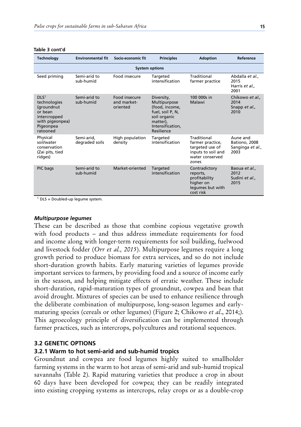| <b>Technology</b>                                                                                                     | <b>Environmental fit</b>     | Socio-economic fit                       | <b>Principles</b>                                                                                                              | <b>Adoption</b>                                                                                      | Reference                                             |
|-----------------------------------------------------------------------------------------------------------------------|------------------------------|------------------------------------------|--------------------------------------------------------------------------------------------------------------------------------|------------------------------------------------------------------------------------------------------|-------------------------------------------------------|
|                                                                                                                       |                              |                                          | <b>System options</b>                                                                                                          |                                                                                                      |                                                       |
| Seed priming                                                                                                          | Semi-arid to<br>sub-humid    | Food insecure                            | Targeted<br>intensification                                                                                                    | Traditional<br>farmer practice                                                                       | Abdalla et al.,<br>2015<br>Harris et al.,<br>2001     |
| DLS <sup>1</sup><br>technologies<br>(groundnut<br>or bean<br>intercropped<br>with pigeonpea)<br>Pigeonpea<br>ratooned | Semi-arid to<br>sub-humid    | Food insecure<br>and market-<br>oriented | Diversity,<br>Multipurpose<br>(food, income,<br>fuel, soil P, N,<br>soil organic<br>matter),<br>Intensification.<br>Resilience | 100 000s in<br>Malawi                                                                                | Chikowo et al.,<br>2014<br>Snapp et al.,<br>2010      |
| Physical<br>soil/water<br>conservation<br>(Zai pits, tied<br>ridges)                                                  | Semi-arid.<br>degraded soils | High population<br>density               | Targeted<br>intensification                                                                                                    | Traditional<br>farmer practice,<br>targeted use of<br>inputs to soil and<br>water conserved<br>zones | Aune and<br>Bationo, 2008<br>Sanginga et al.,<br>2003 |
| PIC bags                                                                                                              | Semi-arid to<br>sub-humid    | Market-oriented                          | Targeted<br>intensification                                                                                                    | Contradictory<br>reports,<br>profitability<br>higher on<br>legumes but with<br>cost risk             | Baoua et al.,<br>2012<br>Sudini et al.,<br>2015       |

#### **Table 3 cont'd**

 $1$  DLS = Doubled-up lequme system.

#### *Multipurpose legumes*

These can be described as those that combine copious vegetative growth with food products – and thus address immediate requirements for food and income along with longer-term requirements for soil building, fuelwood and livestock fodder (*Orr et al., 2015*). Multipurpose legumes require a long growth period to produce biomass for extra services, and so do not include short-duration growth habits. Early maturing varieties of legumes provide important services to farmers, by providing food and a source of income early in the season, and helping mitigate effects of erratic weather. These include short-duration, rapid-maturation types of groundnut, cowpea and bean that avoid drought. Mixtures of species can be used to enhance resilience through the deliberate combination of multipurpose, long-season legumes and earlymaturing species (cereals or other legumes) (Figure 2; Chikowo *et al*., 2014;). This agroecology principle of diversification can be implemented through farmer practices, such as intercrops, polycultures and rotational sequences.

#### **3.2 Genetic options**

#### **3.2.1 Warm to hot semi-arid and sub-humid tropics**

Groundnut and cowpea are food legumes highly suited to smallholder farming systems in the warm to hot areas of semi-arid and sub-humid tropical savannahs (Table 2). Rapid maturing varieties that produce a crop in about 60 days have been developed for cowpea; they can be readily integrated into existing cropping systems as intercrops, relay crops or as a double-crop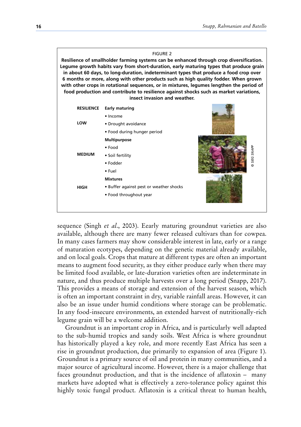

sequence (Singh *et al*., 2003). Eearly maturing groundnut varieties are also available, although there are many fewer released cultivars than for cowpea. In many cases farmers may show considerable interest in late, early or a range of maturation ecotypes, depending on the genetic material already available, and on local goals. Crops that mature at different types are often an important means to augment food security, as they either produce early when there may be limited food available, or late-duration varieties often are indeterminate in nature, and thus produce multiple harvests over a long period (Snapp, 2017). This provides a means of storage and extension of the harvest season, which is often an important constraint in dry, variable rainfall areas. However, it can also be an issue under humid conditions where storage can be problematic. In any food-insecure environments, an extended harvest of nutritionally-rich legume grain will be a welcome addition.

Groundnut is an important crop in Africa, and is particularly well adapted to the sub-humid tropics and sandy soils. West Africa is where groundnut has historically played a key role, and more recently East Africa has seen a rise in groundnut production, due primarily to expansion of area (Figure 1). Groundnut is a primary source of oil and protein in many communities, and a major source of agricultural income. However, there is a major challenge that faces groundnut production, and that is the incidence of aflatoxin – many markets have adopted what is effectively a zero-tolerance policy against this highly toxic fungal product. Aflatoxin is a critical threat to human health,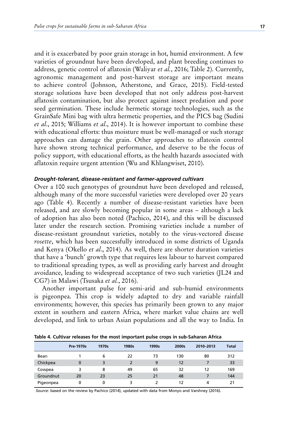and it is exacerbated by poor grain storage in hot, humid environment. A few varieties of groundnut have been developed, and plant breeding continues to address, genetic control of aflatoxin (Waliyar *et al.*, 2016; Table 2). Currently, agronomic management and post-harvest storage are important means to achieve control (Johnson, Atherstone, and Grace, 2015). Field-tested storage solutions have been developed that not only address post-harvest aflatoxin contamination, but also protect against insect predation and poor seed germination. These include hermetic storage technologies, such as the GrainSafe Mini bag with ultra hermetic properties, and the PICS bag (Sudini *et al*., 2015; Williams *et al*., 2014). It is however important to combine these with educational efforts: thus moisture must be well-managed or such storage approaches can damage the grain. Other approaches to aflatoxin control have shown strong technical performance, and deserve to be the focus of policy support, with educational efforts, as the health hazards associated with aflatoxin require urgent attention (Wu and Khlangwiset, 2010).

#### *Drought-tolerant, disease-resistant and farmer-approved cultivars*

Over a 100 such genotypes of groundnut have been developed and released, although many of the more successful varieties were developed over 20 years ago (Table 4). Recently a number of disease-resistant varieties have been released, and are slowly becoming popular in some areas – although a lack of adoption has also been noted (Pachico, 2014), and this will be discussed later under the research section. Promising varieties include a number of disease-resistant groundnut varieties, notably to the virus-vectored disease *rosette*, which has been successfully introduced in some districts of Uganda and Kenya (Okello *et al*., 2014). As well, there are shorter duration varieties that have a 'bunch' growth type that requires less labour to harvest compared to traditional spreading types, as well as providing early harvest and drought avoidance, leading to widespread acceptance of two such varieties (JL24 and CG7) in Malawi (Tsusaka *et al.*, 2016).

Another important pulse for semi-arid and sub-humid environments is pigeonpea. This crop is widely adapted to dry and variable rainfall environments; however, this species has primarily been grown to any major extent in southern and eastern Africa, where market value chains are well developed, and link to urban Asian populations and all the way to India. In

|           | <b>Pre-1970s</b> | 1970s | 1980s         | 1990s | 2000s | 2010-2013 | <b>Total</b> |
|-----------|------------------|-------|---------------|-------|-------|-----------|--------------|
| Bean      |                  | 6     | 22            | 73    | 130   | 80        | 312          |
| Chickpea  | 0                | 3     | $\mathcal{P}$ | 9     | 12    |           | 33           |
| Cowpea    | 3                | 8     | 49            | 65    | 32    | 12        | 169          |
| Groundnut | 20               | 23    | 25            | 21    | 48    |           | 144          |
| Pigeonpea | 0                | 0     | 3             |       | 12    | 4         | 21           |

**Table 4. Cultivar releases for the most important pulse crops in sub-Saharan Africa** 

*Source*: based on the review by Pachico (2014), updated with data from Monyo and Varshney (2016).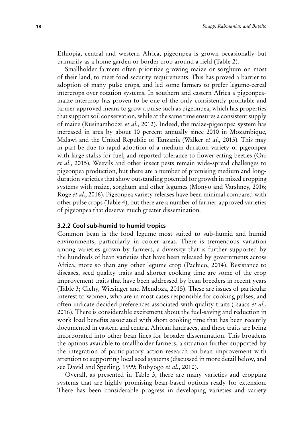Ethiopia, central and western Africa, pigeonpea is grown occasionally but primarily as a home garden or border crop around a field (Table 2).

Smallholder farmers often prioritize growing maize or sorghum on most of their land, to meet food security requirements. This has proved a barrier to adoption of many pulse crops, and led some farmers to prefer legume-cereal intercrops over rotation systems. In southern and eastern Africa a pigeonpeamaize intercrop has proven to be one of the only consistently profitable and farmer-approved means to grow a pulse such as pigeonpea, which has properties that support soil conservation, while at the same time ensures a consistent supply of maize (Rusinamhodzi *et al.*, 2012). Indeed, the maize-pigeonpea system has increased in area by about 10 percent annually since 2010 in Mozambique, Malawi and the United Republic of Tanzania (Walker *et al*., 2015). This may in part be due to rapid adoption of a medium-duration variety of pigeonpea with large stalks for fuel, and reported tolerance to flower-eating beetles (Orr *et al*., 2015). Weevils and other insect pests remain wide-spread challenges to pigeonpea production, but there are a number of promising medium and longduration varieties that show outstanding potential for growth in mixed cropping systems with maize, sorghum and other legumes (Monyo and Varshney, 2016; Roge *et al*., 2016). Pigeonpea variety releases have been minimal compared with other pulse crops (Table 4), but there are a number of farmer-approved varieties of pigeonpea that deserve much greater dissemination.

#### **3.2.2 Cool sub-humid to humid tropics**

Common bean is the food legume most suited to sub-humid and humid environments, particularly in cooler areas. There is tremendous variation among varieties grown by farmers, a diversity that is further supported by the hundreds of bean varieties that have been released by governments across Africa, more so than any other legume crop (Pachico, 2014). Resistance to diseases, seed quality traits and shorter cooking time are some of the crop improvement traits that have been addressed by bean breeders in recent years (Table 3; Cichy, Wiesinger and Mendoza, 2015). These are issues of particular interest to women, who are in most cases responsible for cooking pulses, and often indicate decided preferences associated with quality traits (Isaacs *et al.*, 2016). There is considerable excitement about the fuel-saving and reduction in work load benefits associated with short cooking time that has been recently documented in eastern and central African landraces, and these traits are being incorporated into other bean lines for broader dissemination. This broadens the options available to smallholder farmers, a situation further supported by the integration of participatory action research on bean improvement with attention to supporting local seed systems (discussed in more detail below, and see David and Sperling, 1999; Rubyogo *et al.*, 2010).

Overall, as presented in Table 3, there are many varieties and cropping systems that are highly promising bean-based options ready for extension. There has been considerable progress in developing varieties and variety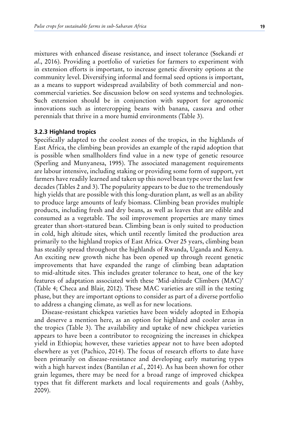mixtures with enhanced disease resistance, and insect tolerance (Ssekandi *et al*., 2016). Providing a portfolio of varieties for farmers to experiment with in extension efforts is important, to increase genetic diversity options at the community level. Diversifying informal and formal seed options is important, as a means to support widespread availability of both commercial and noncommercial varieties. See discussion below on seed systems and technologies. Such extension should be in conjunction with support for agronomic innovations such as intercropping beans with banana, cassava and other perennials that thrive in a more humid environments (Table 3).

#### **3.2.3 Highland tropics**

Specifically adapted to the coolest zones of the tropics, in the highlands of East Africa, the climbing bean provides an example of the rapid adoption that is possible when smallholders find value in a new type of genetic resource (Sperling and Munyanesa, 1995). The associated management requirements are labour intensive, including staking or providing some form of support, yet farmers have readily learned and taken up this novel bean type over the last few decades (Tables 2 and 3). The popularity appears to be due to the tremendously high yields that are possible with this long-duration plant, as well as an ability to produce large amounts of leafy biomass. Climbing bean provides multiple products, including fresh and dry beans, as well as leaves that are edible and consumed as a vegetable. The soil improvement properties are many times greater than short-statured bean. Climbing bean is only suited to production in cold, high altitude sites, which until recently limited the production area primarily to the highland tropics of East Africa. Over 25 years, climbing bean has steadily spread throughout the highlands of Rwanda, Uganda and Kenya. An exciting new growth niche has been opened up through recent genetic improvements that have expanded the range of climbing bean adaptation to mid-altitude sites. This includes greater tolerance to heat, one of the key features of adaptation associated with these 'Mid-altitude Climbers (MAC)' (Table 4; Checa and Blair, 2012). These MAC varieties are still in the testing phase, but they are important options to consider as part of a diverse portfolio to address a changing climate, as well as for new locations.

Disease-resistant chickpea varieties have been widely adopted in Ethopia and deserve a mention here, as an option for highland and cooler areas in the tropics (Table 3). The availability and uptake of new chickpea varieties appears to have been a contributor to recognizing the increases in chickpea yield in Ethiopia; however, these varieties appear not to have been adopted elsewhere as yet (Pachico, 2014). The focus of research efforts to date have been primarily on disease-resistance and developing early maturing types with a high harvest index (Bantilan *et al.*, 2014). As has been shown for other grain legumes, there may be need for a broad range of improved chickpea types that fit different markets and local requirements and goals (Ashby, 2009).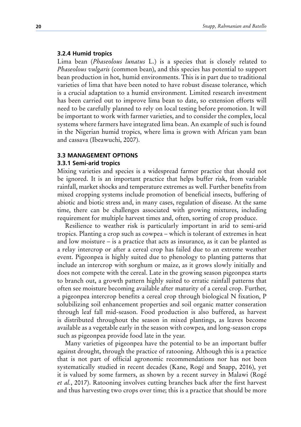#### **3.2.4 Humid tropics**

Lima bean (*Phaseolous lunatus* L.) is a species that is closely related to *Phaseolous vulgaris* (common bean), and this species has potential to support bean production in hot, humid environments. This is in part due to traditional varieties of lima that have been noted to have robust disease tolerance, which is a crucial adaptation to a humid environment. Limited research investment has been carried out to improve lima bean to date, so extension efforts will need to be carefully planned to rely on local testing before promotion. It will be important to work with farmer varieties, and to consider the complex, local systems where farmers have integrated lima bean. An example of such is found in the Nigerian humid tropics, where lima is grown with African yam bean and cassava (Ibeawuchi, 2007).

#### **3.3 Management options**

#### **3.3.1 Semi-arid tropics**

Mixing varieties and species is a widespread farmer practice that should not be ignored. It is an important practice that helps buffer risk, from variable rainfall, market shocks and temperature extremes as well. Further benefits from mixed cropping systems include promotion of beneficial insects, buffering of abiotic and biotic stress and, in many cases, regulation of disease. At the same time, there can be challenges associated with growing mixtures, including requirement for multiple harvest times and, often, sorting of crop produce.

Resilience to weather risk is particularly important in arid to semi-arid tropics. Planting a crop such as cowpea – which is tolerant of extremes in heat and low moisture – is a practice that acts as insurance, as it can be planted as a relay intercrop or after a cereal crop has failed due to an extreme weather event. Pigeonpea is highly suited due to phenology to planting patterns that include an intercrop with sorghum or maize, as it grows slowly initially and does not compete with the cereal. Late in the growing season pigeonpea starts to branch out, a growth pattern highly suited to erratic rainfall patterns that often see moisture becoming available after maturity of a cereal crop. Further, a pigeonpea intercrop benefits a cereal crop through biological N fixation, P solubilizing soil enhancement properties and soil organic matter conseration through leaf fall mid-season. Food production is also buffered, as harvest is distributed throughout the season in mixed plantings, as leaves become available as a vegetable early in the season with cowpea, and long-season crops such as pigeonpea provide food late in the year.

Many varieties of pigeonpea have the potential to be an important buffer against drought, through the practice of ratooning. Although this is a practice that is not part of official agronomic recommendations nor has not been systematically studied in recent decades (Kane, Rogé and Snapp, 2016), yet it is valued by some farmers, as shown by a recent survey in Malawi (Rogé *et al.*, 2017). Ratooning involves cutting branches back after the first harvest and thus harvesting two crops over time; this is a practice that should be more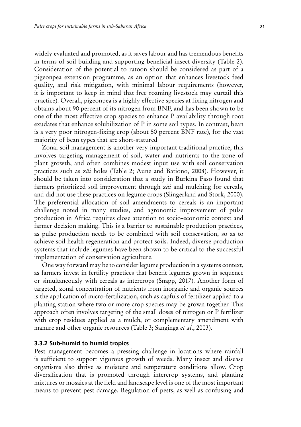widely evaluated and promoted, as it saves labour and has tremendous benefits in terms of soil building and supporting beneficial insect diversity (Table 2). Consideration of the potential to ratoon should be considered as part of a pigeonpea extension programme, as an option that enhances livestock feed quality, and risk mitigation, with minimal labour requirements (however, it is important to keep in mind that free roaming livestock may curtail this practice). Overall, pigeonpea is a highly effective species at fixing nitrogen and obtains about 90 percent of its nitrogen from BNF, and has been shown to be one of the most effective crop species to enhance P availability through root exudates that enhance solubilization of P in some soil types. In contrast, bean is a very poor nitrogen-fixing crop (about 50 percent BNF rate), for the vast majority of bean types that are short-statured

Zonal soil management is another very important traditional practice, this involves targeting management of soil, water and nutrients to the zone of plant growth, and often combines modest input use with soil conservation practices such as *zäi* holes (Table 2; Aune and Bationo, 2008). However, it should be taken into consideration that a study in Burkina Faso found that farmers prioritized soil improvement through *zäi* and mulching for cereals, and did not use these practices on legume crops (Slingerland and Stork, 2000). The preferential allocation of soil amendments to cereals is an important challenge noted in many studies, and agronomic improvement of pulse production in Africa requires close attention to socio-economic context and farmer decision making. This is a barrier to sustainable production practices, as pulse production needs to be combined with soil conservation, so as to achieve soil health regeneration and protect soils. Indeed, diverse production systems that include legumes have been shown to be critical to the successful implementation of conservation agriculture.

One way forward may be to consider legume production in a systems context, as farmers invest in fertility practices that benefit legumes grown in sequence or simultaneously with cereals as intercrops (Snapp, 2017). Another form of targeted, zonal concentration of nutrients from inorganic and organic sources is the application of micro-fertilization, such as capfuls of fertilizer applied to a planting station where two or more crop species may be grown together. This approach often involves targeting of the small doses of nitrogen or P fertilizer with crop residues applied as a mulch, or complementary amendment with manure and other organic resources (Table 3; Sanginga *et al*., 2003).

#### **3.3.2 Sub-humid to humid tropics**

Pest management becomes a pressing challenge in locations where rainfall is sufficient to support vigorous growth of weeds. Many insect and disease organisms also thrive as moisture and temperature conditions allow. Crop diversification that is promoted through intercrop systems, and planting mixtures or mosaics at the field and landscape level is one of the most important means to prevent pest damage. Regulation of pests, as well as confusing and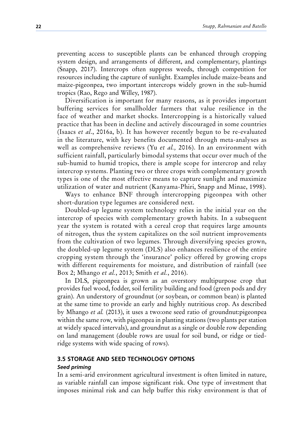preventing access to susceptible plants can be enhanced through cropping system design, and arrangements of different, and complementary, plantings (Snapp, 2017). Intercrops often suppress weeds, through competition for resources including the capture of sunlight. Examples include maize-beans and maize-pigeonpea, two important intercrops widely grown in the sub-humid tropics (Rao, Rego and Willey, 1987).

Diversification is important for many reasons, as it provides important buffering services for smallholder farmers that value resilience in the face of weather and market shocks. Intercropping is a historically valued practice that has been in decline and actively discouraged in some countries (Isaacs *et al*., 2016a, b). It has however recently begun to be re-evaluated in the literature, with key benefits documented through meta-analyses as well as comprehensive reviews (Yu *et al.,* 2016). In an environment with sufficient rainfall, particularly bimodal systems that occur over much of the sub-humid to humid tropics, there is ample scope for intercrop and relay intercrop systems. Planting two or three crops with complementary growth types is one of the most effective means to capture sunlight and maximize utilization of water and nutrient (Kanyama-Phiri, Snapp and Minae, 1998).

Ways to enhance BNF through intercropping pigeonpea with other short-duration type legumes are considered next.

Doubled-up legume system technology relies in the initial year on the intercrop of species with complementary growth habits. In a subsequent year the system is rotated with a cereal crop that requires large amounts of nitrogen, thus the system capitalizes on the soil nutrient improvements from the cultivation of two legumes. Through diversifying species grown, the doubled-up legume system (DLS) also enhances resilience of the entire cropping system through the 'insurance' policy offered by growing crops with different requirements for moisture, and distribution of rainfall (see Box 2; Mhango *et al.*, 2013; Smith *et al.*, 2016).

In DLS, pigeonpea is grown as an overstory multipurpose crop that provides fuel wood, fodder, soil fertility building and food (green pods and dry grain). An understory of groundnut (or soybean, or common bean) is planted at the same time to provide an early and highly nutritious crop. As described by Mhango *et al.* (2013), it uses a two:one seed ratio of groundnut:pigeonpea within the same row, with pigeonpea in planting stations (two plants per station at widely spaced intervals), and groundnut as a single or double row depending on land management (double rows are usual for soil bund, or ridge or tiedridge systems with wide spacing of rows).

#### **3.5 Storage and seed technology options**

#### *Seed priming*

In a semi-arid environment agricultural investment is often limited in nature, as variable rainfall can impose significant risk. One type of investment that imposes minimal risk and can help buffer this risky environment is that of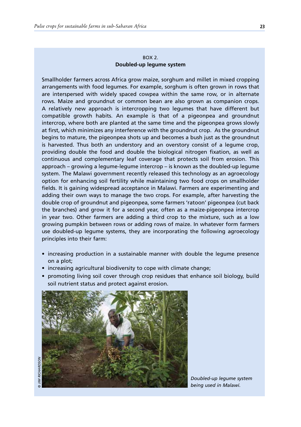#### Box 2. **Doubled-up legume system**

Smallholder farmers across Africa grow maize, sorghum and millet in mixed cropping arrangements with food legumes. For example, sorghum is often grown in rows that are interspersed with widely spaced cowpea within the same row, or in alternate rows. Maize and groundnut or common bean are also grown as companion crops. A relatively new approach is intercropping two legumes that have different but compatible growth habits. An example is that of a pigeonpea and groundnut intercrop, where both are planted at the same time and the pigeonpea grows slowly at first, which minimizes any interference with the groundnut crop. As the groundnut begins to mature, the pigeonpea shots up and becomes a bush just as the groundnut is harvested. Thus both an understory and an overstory consist of a legume crop, providing double the food and double the biological nitrogen fixation, as well as continuous and complementary leaf coverage that protects soil from erosion. This approach – growing a legume-legume intercrop – is known as the doubled-up legume system. The Malawi government recently released this technology as an agroecology option for enhancing soil fertility while maintaining two food crops on smallholder fields. It is gaining widespread acceptance in Malawi. Farmers are experimenting and adding their own ways to manage the two crops. For example, after harvesting the double crop of groundnut and pigeonpea, some farmers 'ratoon' pigeonpea (cut back the branches) and grow it for a second year, often as a maize-pigeonpea intercrop in year two. Other farmers are adding a third crop to the mixture, such as a low growing pumpkin between rows or adding rows of maize. In whatever form farmers use doubled-up legume systems, they are incorporating the following agroecology principles into their farm:

- increasing production in a sustainable manner with double the legume presence on a plot;
- increasing agricultural biodiversity to cope with climate change;
- promoting living soil cover through crop residues that enhance soil biology, build soil nutrient status and protect against erosion.



*Doubled-up legume system being used in Malawi.*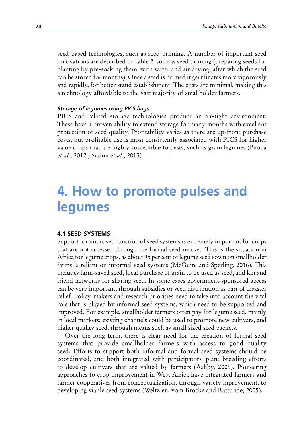seed-based technologies, such as seed-priming. A number of important seed innovations are described in Table 2. such as seed priming (preparing seeds for planting by pre-soaking them, with water and air drying, after which the seed can be stored for months). Once a seed is primed it germinates more vigorously and rapidly, for better stand establishment. The costs are minimal, making this a technology affordable to the vast majority of smallholder farmers.

#### *Storage of legumes using PICS bags*

PICS and related storage technologies produce an air-tight environment. These have a proven ability to extend storage for many months with excellent protection of seed quality. Profitability varies as there are up-front purchase costs, but profitable use is most consistently associated with PICS for higher value crops that are highly susceptible to pests, such as grain legumes (Baoua *et al*., 2012 ; Sudini *et al*., 2015).

# **4. How to promote pulses and legumes**

#### **4.1 Seed systems**

Support for improved function of seed systems is extremely important for crops that are not accessed through the formal seed market. This is the situation in Africa for legume crops, as about 95 percent of legume seed sown on smallholder farms is reliant on informal seed systems (McGuire and Sperling, 2016). This includes farm-saved seed, local purchase of grain to be used as seed, and kin and friend networks for sharing seed. In some cases government-sponsored access can be very important, through subsidies or seed distribution as part of disaster relief. Policy-makers and research priorities need to take into account the vital role that is played by informal seed systems, which need to be supported and improved. For example, smallholder farmers often pay for legume seed, mainly in local markets; existing channels could be used to promote new cultivars, and higher quality seed, through means such as small sized seed packets.

Over the long term, there is clear need for the creation of formal seed systems that provide smallholder farmers with access to good quality seed. Efforts to support both informal and formal seed systems should be coordinated, and both integrated with participatory plant breeding efforts to develop cultivars that are valued by farmers (Ashby, 2009). Pioneering approaches to crop improvement in West Africa have integrated farmers and farmer cooperatives from conceptualization, through variety mprovement, to developing viable seed systems (Weltzien, vom Brocke and Rattunde, 2005).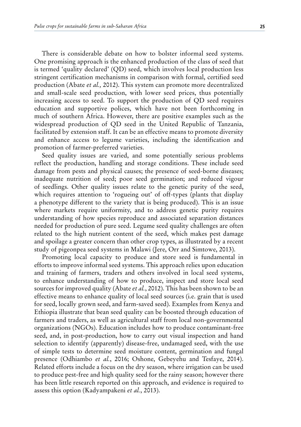There is considerable debate on how to bolster informal seed systems. One promising approach is the enhanced production of the class of seed that is termed 'quality declared' (QD) seed, which involves local production less stringent certification mechanisms in comparison with formal, certified seed production (Abate *et al.,* 2012). This system can promote more decentralized and small-scale seed production, with lower seed prices, thus potentially increasing access to seed. To support the production of QD seed requires education and supportive polices, which have not been forthcoming in much of southern Africa. However, there are positive examples such as the widespread production of QD seed in the United Republic of Tanzania, facilitated by extension staff. It can be an effective means to promote diversity and enhance access to legume varieties, including the identification and promotion of farmer-preferred varieties.

Seed quality issues are varied, and some potentially serious problems reflect the production, handling and storage conditions. These include seed damage from pests and physical causes; the presence of seed-borne diseases; inadequate nutrition of seed; poor seed germination; and reduced vigour of seedlings. Other quality issues relate to the genetic purity of the seed, which requires attention to 'rogueing out' of off-types (plants that display a phenotype different to the variety that is being produced). This is an issue where markets require uniformity, and to address genetic purity requires understanding of how species reproduce and associated separation distances needed for production of pure seed. Legume seed quality challenges are often related to the high nutrient content of the seed, which makes pest damage and spoilage a greater concern than other crop types, as illustrated by a recent study of pigeonpea seed systems in Malawi (Jere, Orr and Simtowe, 2013).

Promoting local capacity to produce and store seed is fundamental in efforts to improve informal seed systems. This approach relies upon education and training of farmers, traders and others involved in local seed systems, to enhance understanding of how to produce, inspect and store local seed sources for improved quality (Abate *et al.*, 2012). This has been shown to be an effective means to enhance quality of local seed sources (i.e. grain that is used for seed, locally grown seed, and farm-saved seed). Examples from Kenya and Ethiopia illustrate that bean seed quality can be boosted through education of farmers and traders, as well as agricultural staff from local non-governmental organizations (NGOs). Education includes how to produce contaminant-free seed, and, in post-production, how to carry out visual inspection and hand selection to identify (apparently) disease-free, undamaged seed, with the use of simple tests to determine seed moisture content, germination and fungal presence (Odhiambo *et al.*, 2016; Oshone, Gebeyehu and Tesfaye, 2014). Related efforts include a focus on the dry season, where irrigation can be used to produce pest-free and high quality seed for the rainy season; however there has been little research reported on this approach, and evidence is required to assess this option (Kadyampakeni *et al.*, 2013).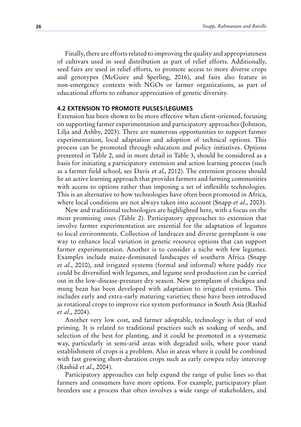Finally, there are efforts related to improving the quality and appropriateness of cultivars used in seed distribution as part of relief efforts. Additionally, seed fairs are used in relief efforts, to promote access to more diverse crops and genotypes (McGuire and Sperling, 2016), and fairs also feature in non-emergency contexts with NGOs or farmer organizations, as part of educational efforts to enhance appreciation of genetic diversity.

#### **4.2 extensIon to Promote Pulses/legumes**

Extension has been shown to be more effective when client-oriented, focusing on supporting farmer experimentation and participatory approaches (Johnson, Lilja and Ashby, 2003). There are numerous opportunities to support farmer experimentation, local adaptation and adoption of technical options. This process can be promoted through education and policy initiatives. Options presented in Table 2, and in more detail in Table 3, should be considered as a basis for initiating a participatory extension and action learning process (such as a farmer field school, see Davis et al., 2012). The extension process should be an active learning approach that provides farmers and farming communities with access to options rather than imposing a set of inflexible technologies. This is an alternative to how technologies have often been promoted in Africa, where local conditions are not always taken into account (Snapp *et al*., 2003).

New and traditional technologies are highlighted here, with a focus on the most promising ones (Table 2). Participatory approaches to extension that involve farmer experimentation are essential for the adaptation of legumes to local environments. Collection of landraces and diverse germplasm is one way to enhance local variation in genetic resource options that can support farmer experimentation. Another is to consider a niche with few legumes. Examples include maize-dominated landscapes of southern Africa (Snapp *et al*., 2010), and irrigated systems (formal and informal) where paddy rice could be diversified with legumes, and legume seed production can be carried out in the low-disease-pressure dry season. New germplasm of chickpea and mung bean has been developed with adaptation to irrigated systems. This includes early and extra-early maturing varieties; these have been introduced as rotational crops to improve rice system performance in South Asia (Rashid *et al*., 2004).

Another very low cost, and farmer adoptable, technology is that of seed priming. It is related to traditional practices such as soaking of seeds, and selection of the best for planting, and it could be promoted in a systematic way, particularly in semi-arid areas with degraded soils, where poor stand establishment of crops is a problem. Also in areas where it could be combined with fast growing short-duration crops such as early cowpea relay intercrop (Rashid *et al*., 2004).

Participatory approaches can help expand the range of pulse lines so that farmers and consumers have more options. For example, participatory plant breeders use a process that often involves a wide range of stakeholders, and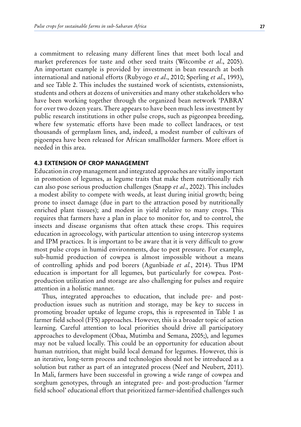a commitment to releasing many different lines that meet both local and market preferences for taste and other seed traits (Witcombe *et al*., 2005). An important example is provided by investment in bean research at both international and national efforts (Rubyogo *et al*., 2010; Sperling *et al*., 1993), and see Table 2. This includes the sustained work of scientists, extensionists, students and others at dozens of universities and many other stakeholders who have been working together through the organized bean network 'PABRA' for over two dozen years. There appears to have been much less investment by public research institutions in other pulse crops, such as pigeonpea breeding, where few systematic efforts have been made to collect landraces, or test thousands of germplasm lines, and, indeed, a modest number of cultivars of pigoenpea have been released for African smallholder farmers. More effort is needed in this area.

#### **4.3 Extension of crop management**

Education in crop management and integrated approaches are vitally important in promotion of legumes, as legume traits that make them nutritionally rich can also pose serious production challenges (Snapp *et al*., 2002). This includes a modest ability to compete with weeds, at least during initial growth; being prone to insect damage (due in part to the attraction posed by nutritionally enriched plant tissues); and modest in yield relative to many crops. This requires that farmers have a plan in place to monitor for, and to control, the insects and disease organisms that often attack these crops. This requires education in agroecology, with particular attention to using intercrop systems and IPM practices. It is important to be aware that it is very difficult to grow most pulse crops in humid environments, due to pest pressure. For example, sub-humid production of cowpea is almost impossible without a means of controlling aphids and pod borers (Agunbiade *et al.*, 2014). Thus IPM education is important for all legumes, but particularly for cowpea. Postproduction utilization and storage are also challenging for pulses and require attention in a holistic manner.

Thus, integrated approaches to education, that include pre- and postproduction issues such as nutrition and storage, may be key to success in promoting broader uptake of legume crops, this is represented in Table 1 as farmer field school (FFS) approaches. However, this is a broader topic of action learning. Careful attention to local priorities should drive all participatory approaches to development (Obaa, Mutimba and Semana, 2005;), and legumes may not be valued locally. This could be an opportunity for education about human nutrition, that might build local demand for legumes. However, this is an iterative, long-term process and technologies should not be introduced as a solution but rather as part of an integrated process (Neef and Neubert, 2011). In Mali, farmers have been successful in growing a wide range of cowpea and sorghum genotypes, through an integrated pre- and post-production 'farmer field school' educational effort that prioritized farmer-identified challenges such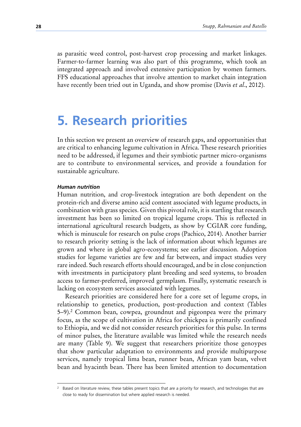as parasitic weed control, post-harvest crop processing and market linkages. Farmer-to-farmer learning was also part of this programme, which took an integrated approach and involved extensive participation by women farmers. FFS educational approaches that involve attention to market chain integration have recently been tried out in Uganda, and show promise (Davis *et al*., 2012).

# **5. Research priorities**

In this section we present an overview of research gaps, and opportunities that are critical to enhancing legume cultivation in Africa. These research priorities need to be addressed, if legumes and their symbiotic partner micro-organisms are to contribute to environmental services, and provide a foundation for sustainable agriculture.

#### *Human nutrition*

Human nutrition, and crop-livestock integration are both dependent on the protein-rich and diverse amino acid content associated with legume products, in combination with grass species. Given this pivotal role, it is startling that research investment has been so limited on tropical legume crops. This is reflected in international agricultural research budgets, as show by CGIAR core funding, which is minuscule for research on pulse crops (Pachico, 2014). Another barrier to research priority setting is the lack of information about which legumes are grown and where in global agro-ecosystems; see earlier discussion. Adoption studies for legume varieties are few and far between, and impact studies very rare indeed. Such research efforts should encouraged, and be in close conjunction with investments in participatory plant breeding and seed systems, to broaden access to farmer-preferred, improved germplasm. Finally, systematic research is lacking on ecosystem services associated with legumes.

Research priorities are considered here for a core set of legume crops, in relationship to genetics, production, post-production and context (Tables 5–9).2 Common bean, cowpea, groundnut and pigeonpea were the primary focus, as the scope of cultivation in Africa for chickpea is primarily confined to Ethiopia, and we did not consider research priorities for this pulse. In terms of minor pulses, the literature available was limited while the research needs are many (Table 9). We suggest that researchers prioritize those genoypes that show particular adaptation to environments and provide multipurpose services, namely tropical lima bean, runner bean, African yam bean, velvet bean and hyacinth bean. There has been limited attention to documentation

<sup>&</sup>lt;sup>2</sup> Based on literature review, these tables present topics that are a priority for research, and technologies that are close to ready for dissemination but where applied research is needed.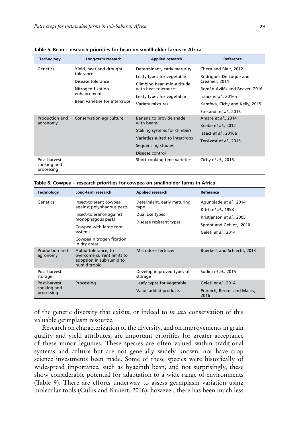| <b>Technology</b>                         | Long-term research                                                                                                             | <b>Applied research</b>                                                                                                                                        | Reference                                                                                                                                                  |
|-------------------------------------------|--------------------------------------------------------------------------------------------------------------------------------|----------------------------------------------------------------------------------------------------------------------------------------------------------------|------------------------------------------------------------------------------------------------------------------------------------------------------------|
| Genetics                                  | Yield, heat and drought<br>tolerance<br>Disease tolerance<br>Nitrogen fixation<br>enhancement<br>Bean varieties for intercrops | Determinant, early maturity<br>Leafy types for vegetable<br>Climbing bean mid-altitude<br>with heat tolerance<br>Leafy types for vegetable<br>Variety mixtures | Checa and Blair, 2012<br>Rodríguez De Lugue and<br>Creamer, 2014<br>Román-Avilés and Beaver, 2016<br>Isaacs et al., 2016a<br>Kamfwa, Cichy and Kelly, 2015 |
| Production and<br>agronomy                | Conservation agriculture                                                                                                       | Banana to provide shade<br>with beans<br>Staking systems for climbers<br>Varieties suited to intercrops<br>Sequencing studies<br>Disease control               | Ssekandi et al., 2016<br>Amare et al., 2014<br>Beebe et al., 2012<br>Isaacs et al., 2016a<br>TerAvest et al., 2015                                         |
| Post-harvest<br>cooking and<br>processing |                                                                                                                                | Short cooking time varieties                                                                                                                                   | Cichy et al., 2015.                                                                                                                                        |

**Table 5. Bean – research priorities for bean on smallholder farms in Africa** 

|  |  |  |  |  |  |  | Table 6. Cowpea – research priorities for cowpea on smallholder farms in Africa |  |  |  |
|--|--|--|--|--|--|--|---------------------------------------------------------------------------------|--|--|--|
|--|--|--|--|--|--|--|---------------------------------------------------------------------------------|--|--|--|

| <b>Technology</b>          | Long-term research                                                                                                                                                                    | <b>Applied research</b>                                                         | Reference                                                                                                                  |
|----------------------------|---------------------------------------------------------------------------------------------------------------------------------------------------------------------------------------|---------------------------------------------------------------------------------|----------------------------------------------------------------------------------------------------------------------------|
| Genetics                   | Insect-tolerant cowpea<br>against polyphagous pests<br>Insect-tolerance against<br>monophagous pests<br>Cowpea with large root<br>systems<br>Cowpea nitrogen fixation<br>in dry areas | Determiant, early maturing<br>type<br>Dual use types<br>Disease resistant types | Agunbiade et al., 2014<br>Kitch et al., 1998<br>Kristjanson et al., 2005<br>Sprent and Gehlot, 2010<br>Geleti et al., 2014 |
| Production and<br>agronomy | Aphid tolerance, to<br>overcome current limits to<br>adoption in subhumid to<br>humid tropic                                                                                          | Microdose fertilizer                                                            | Buerkert and Schlecht, 2013                                                                                                |
| Post-harvest<br>storage    |                                                                                                                                                                                       | Develop improved types of<br>storage                                            | Sudini et al., 2015                                                                                                        |
| Post-harvest               | Processing                                                                                                                                                                            | Leafy types for vegetable                                                       | Geleti et al., 2014                                                                                                        |
| cooking and<br>processing  |                                                                                                                                                                                       | Value added products                                                            | Polreich, Becker and Maass,<br>2016                                                                                        |

of the genetic diversity that exisits, or indeed to *in situ* conservation of this valuable germplasm resource.

Research on characterization of the diversity, and on improvements in grain quality and yield attributes, are important priorities for greater acceptance of these minor legumes. These species are often valued within traditional systems and culture but are not generally widely known, nor have crop science investments been made. Some of these species were historically of widespread importance, such as hyacinth bean, and not surprisingly, these show considerable potential for adaptation to a wide range of environments (Table 9). There are efforts underway to assess germplasm variation using molecular tools (Cullis and Kunert, 2016); however, there has been much less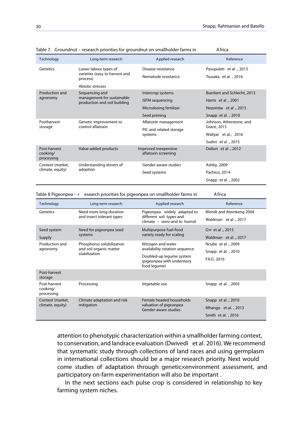|  |                                        |                                                            | Table 7. Grounding – research priorities for grounding on sinamioner family in | Allica                      |
|--|----------------------------------------|------------------------------------------------------------|--------------------------------------------------------------------------------|-----------------------------|
|  | Technology                             | Long-term research                                         | Applied research                                                               | Reference                   |
|  | Genetics                               | Lower labour types of                                      | Disease resistance                                                             | Pasupuleti et al., 2013     |
|  |                                        | varieties (easy to harvest and<br>process)                 | Nematode resistance                                                            | Tsusaka et al., 2016        |
|  |                                        | Abiotic stresses                                           |                                                                                |                             |
|  | Production and                         | Sequencing and                                             | Intercrop systems                                                              | Buerkert and Schlecht, 2013 |
|  | agronomy                               | management for sustainable<br>production and soil building | <b>ISFM</b> sequencing                                                         | Harris et al., 2001         |
|  |                                        |                                                            | Microdosing fertilizer                                                         | Nezomba et al., 2015        |
|  |                                        |                                                            | Seed priming                                                                   | Snapp et al., 2010          |
|  | Postharvest<br>storage                 | Genetic improvement to<br>control aflatoxin                | Aflatoxin management                                                           | Johnson, Atherstone, and    |
|  |                                        |                                                            | PIC and related storage<br>systems                                             | Grace, 2015                 |
|  |                                        |                                                            |                                                                                | Waliyar et al., 2016        |
|  |                                        |                                                            |                                                                                | Sudini et al., 2015         |
|  | Post-harvest<br>cooking/<br>processing | Value-added products                                       | Improved inexpensive<br>aflatoxin screening                                    | Dalton et al., 2012         |
|  | Context (market,                       | Understanding drivers of                                   | Gender-aware studies                                                           | Ashby, 2009                 |
|  | climate, equity)                       | adoption                                                   | Seed systems                                                                   | Pachico, 2014               |
|  |                                        |                                                            |                                                                                | Snapp et al., 2002          |
|  |                                        |                                                            |                                                                                |                             |

**Table 7. Groundnut – research priorities for groundnut on smallholder farms in Africa**

**Table 8 Pigeonpea – r esearch priorities for pigeonpea on smallholder farms in Africa** 

| Technology                             | Long-term research                                                    | A pplied research                                                          | Reference               |  |
|----------------------------------------|-----------------------------------------------------------------------|----------------------------------------------------------------------------|-------------------------|--|
| Genetics                               | Need more long duration<br>and insect tolerant types                  | Pigeonpea widely adapted to<br>different soil types and                    | Wendt and Atemkeng 2004 |  |
|                                        |                                                                       | climate - semi-arid to humid                                               | Waldman et al., 2017    |  |
| Seed system                            | Need for pigeonpea seed                                               | Multipurpose fuel-food                                                     | Orr et al., 2015        |  |
| Supply                                 | systems                                                               | variety ready for scaling                                                  | Waldman et al., 2017    |  |
| Production and<br>agronomy             | Phosphorus solubilization<br>and soil organic matter<br>stabilization | Nitrogen and water<br>availability rotation sequence                       | Ncube et al., 2009      |  |
|                                        |                                                                       |                                                                            | Snapp et al., 2010      |  |
|                                        |                                                                       | Doubled-up lequme system<br>(pigeonpea with understory<br>food lequme)     | FAO, 2016               |  |
| Post-harvest<br>storage                |                                                                       |                                                                            |                         |  |
| Post-harvest<br>cooking/<br>processing | Processing                                                            | Vegetable use                                                              | Snapp et al., 2003      |  |
| Context (market,                       | Climate adaptation and risk<br>mitigation                             | Female headed households<br>valuation of pigeonpea<br>Gender-aware studies | Snapp et al., 2010      |  |
| climate, equity)                       |                                                                       |                                                                            | Mhango et al., 2013     |  |
|                                        |                                                                       |                                                                            | Smith et al., 2016      |  |

attention to phenotypic characterization within a smallholder farming context, to conservation, and landrace evaluation (Dwivedi *et al*. 2016). We recommend that systematic study through collections of land races and using germplasm in international collections should be a major research priority. Next would come studies of adaptation through geneticxenvironment assessment, and participatory on-farm experimentation will also be important .

In the next sections each pulse crop is considered in relationship to key farming system niches.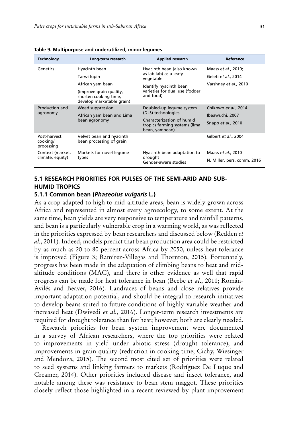| <b>Technology</b>                      | Long-term research                                                            | <b>Applied research</b>                                                                                                        | Reference                                  |  |
|----------------------------------------|-------------------------------------------------------------------------------|--------------------------------------------------------------------------------------------------------------------------------|--------------------------------------------|--|
| Genetics                               | Hyacinth bean                                                                 | Hyacinth bean (also known                                                                                                      | Maass et al., 2010;<br>Geleti et al., 2014 |  |
|                                        | Tarwi lupin                                                                   | as lab lab) as a leafy<br>vegetable                                                                                            |                                            |  |
|                                        | African yam bean<br>Identify hyacinth bean                                    |                                                                                                                                | Varshney et al., 2010                      |  |
|                                        | (improve grain quality,<br>shorten cooking time,<br>develop marketable grain) | varieties for dual use (fodder<br>and food)                                                                                    |                                            |  |
| Production and<br>agronomy             | Weed suppression                                                              | Doubled-up legume system<br>(DLS) technologies<br>Characterization of humid<br>tropics farming systems (lima<br>bean, yambean) | Chikowo et al., 2014                       |  |
|                                        | African yam bean and Lima<br>bean agronomy                                    |                                                                                                                                | Ibeawuchi, 2007                            |  |
|                                        |                                                                               |                                                                                                                                | Snapp et al., 2010                         |  |
| Post-harvest<br>cooking/<br>processing | Velvet bean and hyacinth<br>bean processing of grain                          |                                                                                                                                | Gilbert et al., 2004                       |  |
| Context (market,<br>climate, equity)   | Markets for novel legume<br>types                                             | Hyacinth bean adaptation to<br>drought<br>Gender-aware studies                                                                 | Maass et al., 2010                         |  |
|                                        |                                                                               |                                                                                                                                | N. Miller, pers. comm, 2016                |  |

|  | Table 9. Multipurpose and underutilized, minor legumes |  |
|--|--------------------------------------------------------|--|
|  |                                                        |  |

#### **5.1 Research priorities for pulses of the semi-arid and subhumid tropics**

#### **5.1.1 Common bean (***Phaseolus vulgaris* **L.)**

As a crop adapted to high to mid-altitude areas, bean is widely grown across Africa and represented in almost every agroecology, to some extent. At the same time, bean yields are very responsive to temperature and rainfall patterns, and bean is a particularly vulnerable crop in a warming world, as was reflected in the priorities expressed by bean researchers and discussed below (Redden *et al.*, 2011). Indeed, models predict that bean production area could be restricted by as much as 20 to 80 percent across Africa by 2050, unless heat tolerance is improved (Figure 3; Ramírez-Villegas and Thornton, 2015). Fortunately, progress has been made in the adaptation of climbing beans to heat and midaltitude conditions (MAC), and there is other evidence as well that rapid progress can be made for heat tolerance in bean (Beebe *et al*., 2011; Román-Avilés and Beaver, 2016). Landraces of beans and close relatives provide important adaptation potential, and should be integral to research initiatives to develop beans suited to future conditions of highly variable weather and increased heat (Dwivedi *et al.*, 2016). Longer-term research investments are required for drought tolerance than for heat; however, both are clearly needed.

Research priorities for bean system improvement were documented in a survey of African researchers, where the top priorities were related to improvements in yield under abiotic stress (drought tolerance), and improvements in grain quality (reduction in cooking time; Cichy, Wiesinger and Mendoza, 2015). The second most cited set of priorities were related to seed systems and linking farmers to markets (Rodríguez De Luque and Creamer, 2014). Other priorities included disease and insect tolerance, and notable among these was resistance to bean stem maggot. These priorities closely reflect those highlighted in a recent reviewed by plant improvement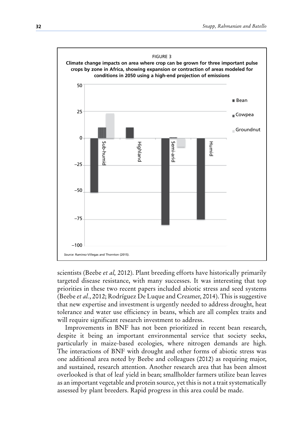

scientists (Beebe *et al,* 2012). Plant breeding efforts have historically primarily targeted disease resistance, with many successes. It was interesting that top priorities in these two recent papers included abiotic stress and seed systems (Beebe *et al.*, 2012; Rodríguez De Luque and Creamer, 2014). This is suggestive that new expertise and investment is urgently needed to address drought, heat tolerance and water use efficiency in beans, which are all complex traits and will require significant research investment to address.

Improvements in BNF has not been prioritized in recent bean research, despite it being an important environmental service that society seeks, particularly in maize-based ecologies, where nitrogen demands are high. The interactions of BNF with drought and other forms of abiotic stress was one additional area noted by Beebe and colleagues (2012) as requiring major, and sustained, research attention. Another research area that has been almost overlooked is that of leaf yield in bean; smallholder farmers utilize bean leaves as an important vegetable and protein source, yet this is not a trait systematically assessed by plant breeders. Rapid progress in this area could be made.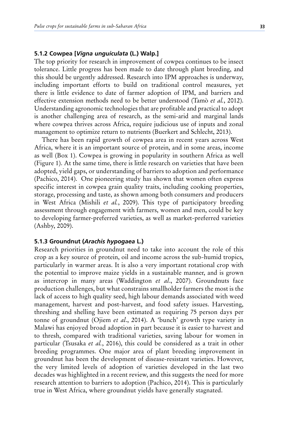#### **5.1.2 Cowpea [***Vigna unguiculata* **(L.) Walp.]**

The top priority for research in improvement of cowpea continues to be insect tolerance. Little progress has been made to date through plant breeding, and this should be urgently addressed. Research into IPM approaches is underway, including important efforts to build on traditional control measures, yet there is little evidence to date of farmer adoption of IPM, and barriers and effective extension methods need to be better understood (Tamò *et al.*, 2012). Understanding agronomic technologies that are profitable and practical to adopt is another challenging area of research, as the semi-arid and marginal lands where cowpea thrives across Africa, require judicious use of inputs and zonal management to optimize return to nutrients (Buerkert and Schlecht, 2013).

There has been rapid growth of cowpea area in recent years across West Africa, where it is an important source of protein, and in some areas, income as well (Box 1). Cowpea is growing in popularity in southern Africa as well (Figure 1). At the same time, there is little research on varieties that have been adopted, yield gaps, or understanding of barriers to adoption and performance (Pachico, 2014). One pioneering study has shown that women often express specific interest in cowpea grain quality traits, including cooking properties, storage, processing and taste, as shown among both consumers and producers in West Africa (Mishili *et al.*, 2009). This type of participatory breeding assessment through engagement with farmers, women and men, could be key to developing farmer-preferred varieties, as well as market-preferred varieties (Ashby, 2009).

#### **5.1.3 Groundnut (***Arachis hypogaea* **L.)**

Research priorities in groundnut need to take into account the role of this crop as a key source of protein, oil and income across the sub-humid tropics, particularly in warmer areas. It is also a very important rotational crop with the potential to improve maize yields in a sustainable manner, and is grown as intercrop in many areas (Waddington *et al*., 2007). Groundnuts face production challenges, but what constrains smallholder farmers the most is the lack of access to high quality seed, high labour demands associated with weed management, harvest and post-harvest, and food safety issues. Harvesting, threshing and shelling have been estimated as requiring 75 person days per tonne of groundnut (Ojiem *et al*., 2014). A 'bunch' growth type variety in Malawi has enjoyed broad adoption in part because it is easier to harvest and to thresh, compared with traditional varieties, saving labour for women in particular (Tsusaka *et al.*, 2016), this could be considered as a trait in other breeding programmes. One major area of plant breeding improvement in groundnut has been the development of disease-resistant varieties. However, the very limited levels of adoption of varieties developed in the last two decades was highlighted in a recent review, and this suggests the need for more research attention to barriers to adoption (Pachico, 2014). This is particularly true in West Africa, where groundnut yields have generally stagnated.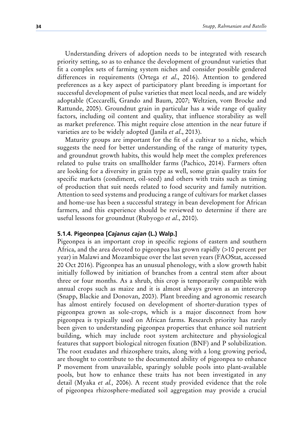Understanding drivers of adoption needs to be integrated with research priority setting, so as to enhance the development of groundnut varieties that fit a complex sets of farming system niches and consider possible gendered differences in requirements (Ortega *et al*., 2016). Attention to gendered preferences as a key aspect of participatory plant breeding is important for successful development of pulse varieties that meet local needs, and are widely adoptable (Ceccarelli, Grando and Baum, 2007; Weltzien, vom Brocke and Rattunde, 2005). Groundnut grain in particular has a wide range of quality factors, including oil content and quality, that influence storability as well as market preference. This might require close attention in the near future if varieties are to be widely adopted (Janila *et al*., 2013).

Maturity groups are important for the fit of a cultivar to a niche, which suggests the need for better understanding of the range of maturity types, and groundnut growth habits, this would help meet the complex preferences related to pulse traits on smallholder farms (Pachico, 2014). Farmers often are looking for a diversity in grain type as well, some grain quality traits for specific markets (condiment, oil-seed) and others with traits such as timing of production that suit needs related to food security and family nutrition. Attention to seed systems and producing a range of cultivars for market classes and home-use has been a successful strategy in bean development for African farmers, and this experience should be reviewed to determine if there are useful lessons for groundnut (Rubyogo *et al*., 2010).

#### **5.1.4. Pigeonpea [***Cajanus cajan* **(L.) Walp.]**

Pigeonpea is an important crop in specific regions of eastern and southern Africa, and the area devoted to pigeonpea has grown rapidly (>10 percent per year) in Malawi and Mozambique over the last seven years (FAOStat, accessed 20 Oct 2016). Pigeonpea has an unusual phenology, with a slow growth habit initially followed by initiation of branches from a central stem after about three or four months. As a shrub, this crop is temporarily compatible with annual crops such as maize and it is almost always grown as an intercrop (Snapp, Blackie and Donovan, 2003). Plant breeding and agronomic research has almost entirely focused on development of shorter-duration types of pigeonpea grown as sole-crops, which is a major disconnect from how pigeonpea is typically used on African farms. Research priority has rarely been given to understanding pigeonpea properties that enhance soil nutrient building, which may include root system architecture and physiological features that support biological nitrogen fixation (BNF) and P solubilization. The root exudates and rhizosphere traits, along with a long growing period, are thought to contribute to the documented ability of pigeonpea to enhance P movement from unavailable, sparingly soluble pools into plant-available pools, but how to enhance these traits has not been investigated in any detail (Myaka *et al.,* 2006). A recent study provided evidence that the role of pigeonpea rhizosphere-mediated soil aggregation may provide a crucial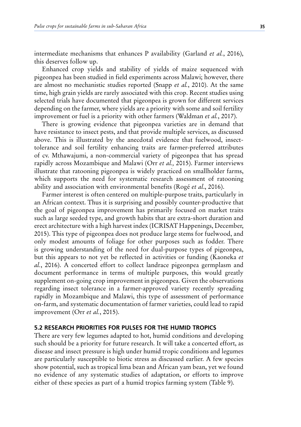intermediate mechanisms that enhances P availability (Garland *et al.*, 2016), this deserves follow up.

Enhanced crop yields and stability of yields of maize sequenced with pigeonpea has been studied in field experiments across Malawi; however, there are almost no mechanistic studies reported (Snapp *et al.*, 2010). At the same time, high grain yields are rarely associated with this crop. Recent studies using selected trials have documented that pigeonpea is grown for different services depending on the farmer, where yields are a priority with some and soil fertility improvement or fuel is a priority with other farmers (Waldman *et al.*, 2017).

There is growing evidence that pigeonpea varieties are in demand that have resistance to insect pests, and that provide multiple services, as discussed above. This is illustrated by the anecdotal evidence that fuelwood, insecttolerance and soil fertility enhancing traits are farmer-preferred attributes of cv. Mthawajumi, a non-commercial variety of pigeonpea that has spread rapidly across Mozambique and Malawi (Orr *et al.,* 2015). Farmer interviews illustrate that ratooning pigeonpea is widely practiced on smallholder farms, which supports the need for systematic research assessment of ratooning ability and association with environmental benefits (Rogé *et al*., 2016).

Farmer interest is often centered on multiple-purpose traits, particularly in an African context. Thus it is surprising and possibly counter-productive that the goal of pigeonpea improvement has primarily focused on market traits such as large seeded type, and growth habits that are extra-short duration and erect architecture with a high harvest index (ICRISAT Happenings, December, 2015). This type of pigeonpea does not produce large stems for fuelwood, and only modest amounts of foliage for other purposes such as fodder. There is growing understanding of the need for dual-purpose types of pigeonpea, but this appears to not yet be reflected in activities or funding (Kaoneka *et al.*, 2016). A concerted effort to collect landrace pigeonpea germplasm and document performance in terms of multiple purposes, this would greatly supplement on-going crop improvement in pigeonpea. Given the observations regarding insect tolerance in a farmer-approved variety recently spreading rapidly in Mozambique and Malawi, this type of assessment of performance on-farm, and systematic documentation of farmer varieties, could lead to rapid improvement (Orr *et al.*, 2015).

#### **5.2 Research priorities for pulses for the humid tropics**

There are very few legumes adapted to hot, humid conditions and developing such should be a priority for future research. It will take a concerted effort, as disease and insect pressure is high under humid tropic conditions and legumes are particularly susceptible to biotic stress as discussed earlier. A few species show potential, such as tropical lima bean and African yam bean, yet we found no evidence of any systematic studies of adaptation, or efforts to improve either of these species as part of a humid tropics farming system (Table 9).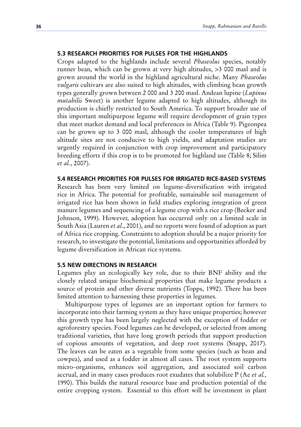#### **5.3 Research priorities for pulses for the highlands**

Crops adapted to the highlands include several *Phaseolus* species, notably runner bean, which can be grown at very high altitudes, >3 000 masl and is grown around the world in the highland agricultural niche. Many *Phaseolus vulgaris* cultivars are also suited to high altitudes, with climbing bean growth types generally grown between 2 000 and 3 200 masl. Andean lupine (*Lupinus mutabilis* Sweet) is another legume adapted to high altitudes, although its production is chiefly restricted to South America. To support broader use of this important multipurpose legume will require development of grain types that meet market demand and local preferences in Africa (Table 9). Pigeonpea can be grown up to 3 000 masl, although the cooler temperatures of high altitude sites are not conducive to high yields, and adaptation studies are urgently required in conjunction with crop improvement and participatory breeding efforts if this crop is to be promoted for highland use (Table 8; Silim *et al.*, 2007).

#### **5.4 Research priorities for pulses for irrigated rice-based systems**

Research has been very limited on legume-diversification with irrigated rice in Africa. The potential for profitable, sustainable soil management of irrigated rice has been shown in field studies exploring integration of green manure legumes and sequencing of a legume crop with a rice crop (Becker and Johnson, 1999). However, adoption has occurred only on a limited scale in South Asia (Lauren *et al*., 2001), and no reports were found of adoption as part of Africa rice cropping. Constraints to adoption should be a major priority for research, to investigate the potential, limitations and opportunities afforded by legume diversification in African rice systems.

#### **5.5 New directions in research**

Legumes play an ecologically key role, due to their BNF ability and the closely related unique biochemical properties that make legume products a source of protein and other diverse nutrients (Topps, 1992). There has been limited attention to harnessing these properties in legumes.

Multipurpose types of legumes are an important option for farmers to incorporate into their farming system as they have unique properties; however this growth type has been largely neglected with the exception of fodder or agroforestry species. Food legumes can be developed, or selected from among traditional varieties, that have long growth periods that support production of copious amounts of vegetation, and deep root systems (Snapp, 2017). The leaves can be eaten as a vegetable from some species (such as bean and cowpea), and used as a fodder in almost all cases. The root system supports micro-organisms, enhances soil aggregation, and associated soil carbon accrual, and in many cases produces root exudates that solubilize P (Ae *et al.,*  1990). This builds the natural resource base and production potential of the entire cropping system. Essential to this effort will be investment in plant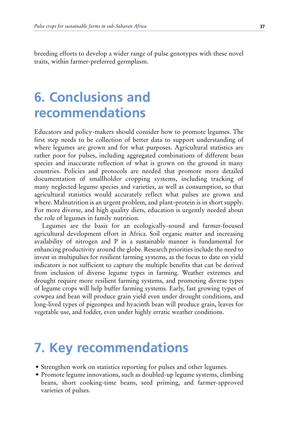breeding efforts to develop a wider range of pulse genotypes with these novel traits, within farmer-preferred germplasm.

# **6. Conclusions and recommendations**

Educators and policy-makers should consider how to promote legumes. The first step needs to be collection of better data to support understanding of where legumes are grown and for what purposes. Agricultural statistics are rather poor for pulses, including aggregated combinations of different bean species and inaccurate reflection of what is grown on the ground in many countries. Policies and protocols are needed that promote more detailed documentation of smallholder cropping systems, including tracking of many neglected legume species and varieties, as well as consumption, so that agricultural statistics would accurately reflect what pulses are grown and where. Malnutrition is an urgent problem, and plant-protein is in short supply. For more diverse, and high quality diets, education is urgently needed about the role of legumes in family nutrition.

Legumes are the basis for an ecologically-sound and farmer-focused agricultural development effort in Africa. Soil organic matter and increasing availability of nitrogen and P in a sustainable manner is fundamental for enhancing productivity around the globe. Research priorities include the need to invest in multipulses for resilient farming systems, as the focus to date on yield indicators is not sufficient to capture the multiple benefits that can be derived from inclusion of diverse legume types in farming. Weather extremes and drought require more resilient farming systems, and promoting diverse types of legume crops will help buffer farming systems. Early, fast growing types of cowpea and bean will produce grain yield even under drought conditions, and long-lived types of pigeonpea and hyacinth bean will produce grain, leaves for vegetable use, and fodder, even under highly erratic weather conditions.

## **7. Key recommendations**

- Strengthen work on statistics reporting for pulses and other legumes.
- Promote legume innovations, such as doubled-up legume systems, climbing beans, short cooking-time beans, seed priming, and farmer-approved varieties of pulses.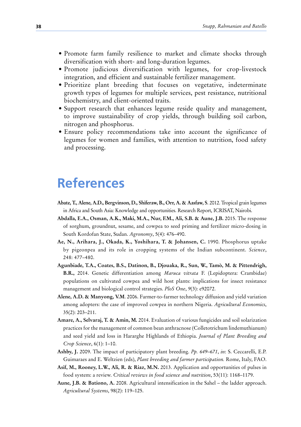- Promote farm family resilience to market and climate shocks through diversification with short- and long-duration legumes.
- Promote judicious diversification with legumes, for crop-livestock integration, and efficient and sustainable fertilizer management.
- • Prioritize plant breeding that focuses on vegetative, indeterminate growth types of legumes for multiple services, pest resistance, nutritional biochemistry, and client-oriented traits.
- • Support research that enhances legume reside quality and management, to improve sustainability of crop yields, through building soil carbon, nitrogen and phosphorus.
- Ensure policy recommendations take into account the significance of legumes for women and families, with attention to nutrition, food safety and processing.

### **References**

- **Abate, T., Alene, A.D., Bergvinson, D., Shiferaw, B., Orr, A. & Aasfaw, S**. 2012. Tropical grain legumes in Africa and South Asia: Knowledge and opportunities. Research Report, ICRISAT, Nairobi.
- **Abdalla, E.A., Osman, A.K., Maki, M.A., Nur, F.M., Ali, S.B. & Aune, J.B.** 2015. The response of sorghum, groundnut, sesame, and cowpea to seed priming and fertilizer micro-dosing in South Kordofan State, Sudan. *Agronomy*, 5(4): 476–490.
- **Ae, N., Arihara, J., Okada, K., Yoshihara, T. & Johansen, C.** 1990. Phosphorus uptake by pigeonpea and its role in cropping systems of the Indian subcontinent. *Science*, 248: 477–480.
- **Agunbiade, T.A., Coates, B.S., Datinon, B., Djouaka, R., Sun, W., Tamò, M. & Pittendrigh, B.R.,** 2014. Genetic differentiation among *Maruca vitrata* F. (Lepidoptera: Crambidae) populations on cultivated cowpea and wild host plants: implications for insect resistance management and biological control strategies. *PloS One*, *9*(3): e92072.
- **Alene, A.D. & Manyong, V.M**. 2006. Farmer-to-farmer technology diffusion and yield variation among adopters: the case of improved cowpea in northern Nigeria. *Agricultural Economics*, 35(2): 203–211.
- **Amare, A., Selvaraj, T. & Amin, M.** 2014. Evaluation of various fungicides and soil solarization practices for the management of common bean anthracnose (Colletotrichum lindemuthianum) and seed yield and loss in Hararghe Highlands of Ethiopia. *Journal of Plant Breeding and Crop Science*, 6(1): 1–10.
- **Ashby, J.** 2009. The impact of participatory plant breeding. *Pp. 649–671*, *in*: S. Ceccarelli, E.P. Guimaraes and E. Weltzien (eds), *Plant breeding and farmer participation.* Rome, Italy, FAO.
- **Asif, M., Rooney, L.W., Ali, R. & Riaz, M.N.** 2013. Application and opportunities of pulses in food system: a review. *Critical reviews in food science and nutrition*, 53(11): 1168–1179.
- **Aune, J.B. & Bationo, A.** 2008. Agricultural intensification in the Sahel the ladder approach. *Agricultural Systems*, 98(2): 119–125.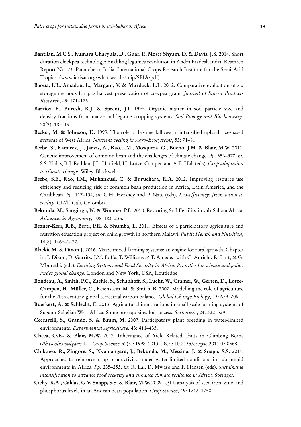- **Bantilan, M.C.S., Kumara Charyula, D., Guar, P., Moses Shyam, D. & Davis, J.S.** 2014. Short duration chickpea technology: Enabling legumes revolution in Andra Pradesh India. Research Report No. 23. Patancheru, India, International Crops Research Institute for the Semi-Arid Tropics. (www.icrisat.org/what-we-do/mip/SPIA/pdf)
- **Baoua, I.B., Amadou, L., Margam, V. & Murdock, L.L.** 2012. Comparative evaluation of six storage methods for postharvest preservation of cowpea grain. *Journal of Stored Products Research*, 49: 171–175.
- **Barrios, E., Buresh, R.J. & Sprent, J.I.** 1996. Organic matter in soil particle size and density fractions from maize and legume cropping systems. *Soil Biology and Biochemistry*, 28(2): 185–193.
- **Becker, M. & Johnson, D.** 1999. The role of legume fallows in intensified upland rice-based systems of West Africa. *Nutrient cycling in Agro-Ecosystems*, 53: 71–81.
- **Beebe, S., Ramírez, J., Jarvis, A., Rao, I.M., Mosquera, G., Bueno, J.M. & Blair, M.W.** 2011. Genetic improvement of common bean and the challenges of climate change. P*p.* 356–370, *in:*  S.S. Yadav, R.J. Redden, J.L. Hatfield, H. Lotze-Campen and A.E. Hall (eds), *Crop adaptation to climate change*. Wiley-Blackwell.
- **Beebe, S.E., Rao, I.M., Mukankusi, C. & Buruchara, R.A.** 2012. Improving resource use efficiency and reducing risk of common bean production in Africa, Latin America, and the Caribbean. *Pp.* 117–134, *in:* C.H. Hershey and P. Nate (eds), *Eco-efficiency: from vision to reality.* CIAT, Cali, Colombia.
- **Bekunda, M., Sanginga, N. & Woomer, P.L**. 2010. Restoring Soil Fertility in sub-Sahara Africa. *Advances in Agronomy*, 108: 183–236.
- **Bezner-Kerr, R.B., Berti, P.R. & Shumba, L.** 2011. Effects of a participatory agriculture and nutrition education project on child growth in northern Malawi. *Public Health and Nutrition*, 14(8): 1466–1472.
- **Blackie M. & Dixon J.** 2016. Maize mixed farming systems: an engine for rural growth. Chapter in: J. Dixon, D. Garrity, J.M. Boffa, T. Williams & T. Amede, with C. Auricht, R. Lott, & G. Mburathi, (eds). *Farming Systems and Food Security in Africa: Priorities for science and policy under global change.* London and New York, USA, Routledge.
- **Bondeau, A., Smith, P.C., Zaehle, S., Schaphoff, S., Lucht, W., Cramer, W., Gerten, D., Lotze-Campen, H., Müller, C., Reichstein, M. & Smith, B.** 2007. Modelling the role of agriculture for the 20th century global terrestrial carbon balance. *Global Change Biology*, 13: 679–706.
- **Buerkert, A. & Schlecht, E.** 2013. Agricultural innnovations in small scale farming systems of Sugano-Sahelian West Africa: Some prerequisites for success. *Secheresse*, 24: 322–329.
- **Ceccarelli, S., Grando, S. & Baum, M.** 2007. Participatory plant breeding in water-limited environments. *Experimental Agriculture,* 43: 411–435.
- **Checa, O.E., & Blair, M.W.** 2012. Inheritance of Yield-Related Traits in Climbing Beans (*Phaseolus vulgaris* L.). *Crop Science* 52(5): 1998–2013. DOI: 10.2135/cropsci2011.07.0368
- **Chikowo, R., Zingore, S., Nyamangara, J., Bekunda, M., Messina, J. & Snapp, S.S.** 2014. Approaches to reinforce crop productivity under water-limited conditions in sub-humid environments in Africa. *Pp.* 235–253, *in:* R. Lal, D. Mwase and F. Hansen (eds), *Sustainable intensification to advance food security and enhance climate resilience in Africa.* Springer.
- **Cichy, K.A., Caldas, G.V. Snapp, S.S. & Blair, M.W.** 2009. QTL analysis of seed iron, zinc, and phosphorus levels in an Andean bean population. *Crop Science,* 49: 1742–1750.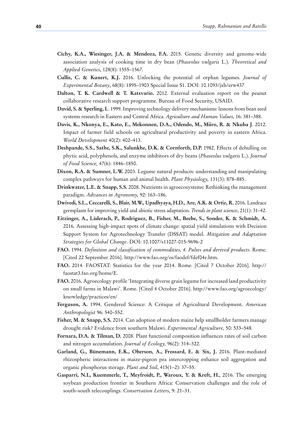- **Cichy, K.A., Wiesinger, J.A. & Mendoza, F.A.** 2015. Genetic diversity and genome-wide association analysis of cooking time in dry bean (*Phaseolus vulgaris* L.). *Theoretical and Applied Genetics*, 128(8): 1555–1567.
- **Cullis, C. & Kunert, K.J.** 2016. Unlocking the potential of orphan legumes. *Journal of Experimental Botany*, 68(8): 1895–1903 Special Issue S1. DOI: 10.1093/jxb/erw437
- **Dalton, T. K. Cardwell & T. Katsvario.** 2012. External evaluation report on the peanut collaborative research support programme. Bureau of Food Security, USAID.
- **David, S. & Sperling, L**. 1999. Improving technology delivery mechanisms: lessons from bean seed systems research in Eastern and Central Africa. *Agriculture and Human Values*, 16: 381–388.
- **Davis, K., Nkonya, E., Kato, E., Mekonnen, D.A., Odendo, M., Miiro, R. & Nkuba J**. 2012. Impact of farmer field schools on agricultural productivity and poverty in eastern Africa. *World Development* 40(2): 402–413.
- Deshpande, S.S., Sathe, S.K., Salunkhe, D.K. & Cornforth, D.P. 1982. Effects of dehulling on phytic acid, polyphenols, and enzyme inhibitors of dry beans (*Phaseolus vulgaris* L.). *Journal of Food Science,* 47(6): 1846–1850.
- **Dixon, R.A. & Sumner, L.W.** 2003. Legume natural products: understanding and manipulating complex pathways for human and animal health. *Plant Physiology,* 131(3): 878–885.
- **Drinkwater, L.E. & Snapp, S.S.** 2008. Nutrients in agroecosystems: Rethinking the management paradigm. *Advances in Agronomy,* 92: 163–186.
- **Dwivedi, S.L., Ceccarelli, S., Blair, M.W., Upadhyaya, H.D., Are, A.K. & Ortiz, R.** 2016. Landrace germplasm for improving yield and abiotic stress adaptation. *Trends in plant science*, 21(1): 31–42.
- **Eitzinger, A., Läderach, P., Rodriguez, B., Fisher, M., Beebe, S., Sonder, K. & Schmidt, A.** 2016. Assessing high-impact spots of climate change: spatial yield simulations with Decision Support System for Agrotechnology Transfer (DSSAT) model. *Mitigation and Adaptation Strategies for Global Change*. DOI: 10.1007/s11027-015-9696-2
- **FAO.** 1994. *Definition and classification of commodities, 4. Pulses and derived products*. Rome. [Cited 22 September 2016]. http://www.fao.org/es/faodef/fdef04e.htm.
- **FAO.** 2014. FAOSTAT: Statistics for the year 2014. Rome. [Cited 7 October 2016]. http:// faostat3.fao.org/home/E.
- **FAO.** 2016. Agroecology profile 'Integrating diverse grain legume for increased land productivity on small farms in Malawi'. Rome. [Cited 4 October 2016]. http://www.fao.org/agroecology/ knowledge/practices/en/
- **Ferguson, A.** 1994. Gendered Science: A Critique of Agricultural Development. *American Anthropologist* 96: 540–552.
- **Fisher, M. & Snapp, S.S.** 2014. Can adoption of modern maize help smallholder farmers manage drought risk? Evidence from southern Malawi. *Experimental Agriculture,* 50: 533–548*.*
- **Fornara, D.A. & Tilman, D.** 2008. Plant functional composition influences rates of soil carbon and nitrogen accumulation. *Journal of Ecology,* 96(2): 314–322.
- **Garland, G., Bünemann, E.K., Oberson, A., Frossard, E. & Six, J.** 2016. Plant-mediated rhizospheric interactions in maize-pigeon pea intercropping enhance soil aggregation and organic phosphorus storage. *Plant and Soil*, 415(1–2): 37–55.
- **Gasparri, N.I., Kuemmerle, T., Meyfroidt, P., Waroux, Y. & Kreft, H.**, 2016. The emerging soybean production frontier in Southern Africa: Conservation challenges and the role of south–south telecouplings. *Conservation Letters*, 9: 21–31.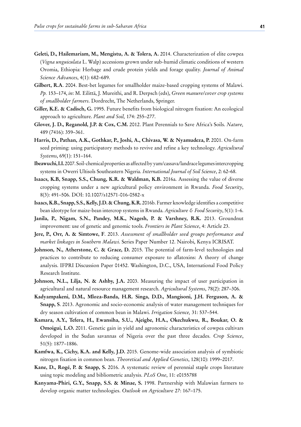- **Geleti, D., Hailemariam, M., Mengistu, A. & Tolera, A.** 2014. Characterization of elite cowpea (*Vigna unguiculata* L. Walp) accessions grown under sub-humid climatic conditions of western Oromia, Ethiopia: Herbage and crude protein yields and forage quality. *Journal of Animal Science Advances*, 4(1): 682–689.
- **Gilbert, R.A**. 2004. Best-bet legumes for smallholder maize-based cropping systems of Malawi. *Pp.* 153–174, *in*: M. Eilittä, J. Mureithi, and R. Derpsch (eds), *Green manure/cover crop systems of smallholder farmers*. Dordrecht, The Netherlands, Springer.
- **Giller, K.E. & Cadisch, G.** 1995. Future benefits from biological nitrogen fixation: An ecological approach to agriculture. *Plant and Soil,* 174: 255–277.
- **Glover, J. D., Reganold, J.P. & Cox, C.M.** 2012. Plant Perennials to Save Africa's Soils. *Nature,* 489 (7416): 359–361.
- **Harris, D., Pathan, A.K., Gothkar, P., Joshi, A., Chivasa, W. & Nyamudeza, P.** 2001. On-farm seed priming: using participatory methods to revive and refine a key technology. *Agricultural Systems*, 69(1): 151–164.
- **Ibeawuchi, I.I.** 2007. Soil-chemical properties as affected by yam/cassava/landrace legumes intercropping systems in Owerri Ultisols Southeastern Nigeria. *International Journal of Soil Science*, 2: 62–68.
- **Isaacs, K.B, Snapp, S.S., Chung, K.R. & Waldman, K.B.** 2016a. Assessing the value of diverse cropping systems under a new agricultural policy environment in Rwanda. *Food Security*, 8(3): 491–506. DOI: 10.1007/s12571-016-0582-x
- **Isaacs, K.B., Snapp, S.S., Kelly, J.D. & Chung, K.R.** 2016b. Farmer knowledge identifies a competitive bean ideotype for maize-bean intercrop systems in Rwanda. *Agriculture & Food Security*, 5(1): 1–6.
- **Janila, P., Nigam, S.N., Pandey, M.K., Nagesh, P. & Varshney, R.K.** 2013. Groundnut improvement: use of genetic and genomic tools. *Frontiers in Plant Science*, 4: Article 23.
- **Jere, P., Orr, A. & Simtowe, F**. 2013. *Assessment of smallholder seed groups performance and market linkages in Southern Malawi*. Series Paper Number 12. Nairobi, Kenya ICRISAT.
- **Johnson, N., Atherstone, C. & Grace, D.** 2015. The potential of farm-level technologies and practices to contribute to reducing consumer exposure to aflatoxins: A theory of change analysis. IFPRI Discussion Paper 01452. Washington, D.C., USA, International Food Policy Research Institute.
- **Johnson, N.L., Lilja, N. & Ashby, J.A.** 2003. Measuring the impact of user participation in agricultural and natural resource management research. *Agricultural Systems*, 78(2): 287–306.
- **Kadyampakeni, D.M., Mloza-Banda, H.R. Singa, D.D., Mangisoni, J.H. Ferguson, A. & Snapp, S**. 2013. Agronomic and socio-economic analysis of water management techniques for dry season cultivation of common bean in Malawi. *Irrigation Science,* 31: 537–544.
- **Kamara, A.Y., Tefera, H., Ewansiha, S.U., Ajeigbe, H.A., Okechukwu, R., Boukar, O. & Omoigui, L.O.** 2011. Genetic gain in yield and agronomic characteristics of cowpea cultivars developed in the Sudan savannas of Nigeria over the past three decades. *Crop Science*, 51(5): 1877–1886.
- **Kamfwa, K., Cichy, K.A. and Kelly, J.D.** 2015. Genome-wide association analysis of symbiotic nitrogen fixation in common bean. *Theoretical and Applied Genetics*, 128(10): 1999–2017.
- **Kane, D., Rogé, P. & Snapp, S.** 2016. A systematic review of perennial staple crops literature using topic modeling and bibliometric analysis. *PLoS One*, 11: e0155788
- **Kanyama-Phiri, G.Y., Snapp, S.S. & Minae, S.** 1998. Partnership with Malawian farmers to develop organic matter technologies. *Outlook on Agriculture* 27: 167–175.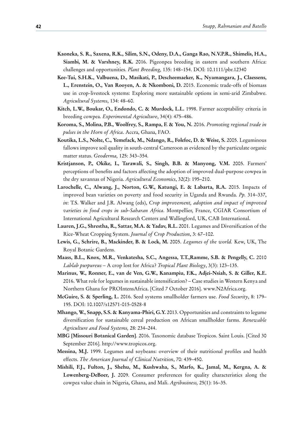- **Kaoneka, S. R., Saxena, R.K., Silim, S.N., Odeny, D.A., Ganga Rao, N.V.P.R., Shimelis, H.A., Siambi, M. & Varshney, R.K.** 2016. Pigeonpea breeding in eastern and southern Africa: challenges and opportunities. *Plant Breeding,* 135: 148–154. DOI: 10.1111/pbr.12340
- **Kee-Tui, S.H.K., Valbuena, D., Masikati, P., Descheemaeker, K., Nyamangara, J., Claessens, L., Erenstein, O., Van Rooyen, A. & Nkomboni, D.** 2015. Economic trade-offs of biomass use in crop-livestock systems: Exploring more sustainable options in semi-arid Zimbabwe. *Agricultural Systems*, 134: 48–60.
- **Kitch, L.W., Boukar, O., Endondo, C. & Murdock, L.L.** 1998. Farmer acceptability criteria in breeding cowpea. *Experimental Agriculture*, 34(4): 475–486.
- **Koroma, S., Molina, P.B., Woolfrey, S., Rampa, F. & You, N.** 2016. *Promoting regional trade in pulses in the Horn of Africa*. Accra, Ghana, FAO.
- **Koutika, L.S., Nolte, C., Yemefack, M., Ndango, R., Folefoc, D. & Weise, S.** 2005. Leguminous fallows improve soil quality in south-central Cameroon as evidenced by the particulate organic matter status. *Geoderma,* 125: 343–354.
- **Kristjanson, P., Okike, I., Tarawali, S., Singh, B.B. & Manyong, V.M.** 2005. Farmers' perceptions of benefits and factors affecting the adoption of improved dual-purpose cowpea in the dry savannas of Nigeria. *Agricultural Economics*, 32(2): 195–210.
- **Larochelle, C., Alwang, J., Norton, G.W., Katungi, E. & Labarta, R.A.** 2015. Impacts of improved bean varieties on poverty and food security in Uganda and Rwanda. *Pp.* 314–337, *in*: T.S. Walker and J.R. Alwang (eds), *Crop improvement, adoption and impact of improved varieties in food crops in sub-Saharan Africa*. Montpellier, France, CGIAR Consortium of International Agricultural Research Centers and Wallingford, UK, CAB International.
- **Lauren, J.G., Shrestha, R., Sattar, M.A. & Yadav, R.L.** 2001. Legumes and Diversification of the Rice-Wheat Cropping System. *Journal of Crop Production*, 3: 67–102.
- **Lewis, G., Schrire, B., Mackinder, B. & Lock, M.** 2005. *Legumes of the world.* Kew, UK, The Royal Botanic Gardens.
- **Maass, B.L., Knox, M.R., Venkatesha, S.C., Angessa, T.T.,Ramme, S.B. & Pengelly, C.** 2010 *Lablab purpureus* – A crop lost for Africa? *Tropical Plant Biology*, 3(3): 123–135.
- **Marinus, W., Ronner, E., van de Ven, G.W., Kanampiu, F.K., Adjei-Nsiah, S. & Giller, K.E.** 2016. What role for legumes in sustainable intensification? – Case studies in Western Kenya and Northern Ghana for PROIntensAfrica. [Cited 7 October 2016]. www.N2Africa.org.
- **McGuire, S. & Sperling, L.** 2016. Seed systems smallholder farmers use. *Food Security*, 8: 179– 195. DOI: 10.1007/s12571-015-0528-8
- **Mhango, W., Snapp, S.S. & Kanyama-Phiri, G.Y.** 2013. Opportunities and constraints to legume diversification for sustainable cereal production on African smallholder farms. *Renewable Agriculture and Food Systems,* 28: 234–244.
- **MBG [Missouri Botanical Garden]**. 2016. Taxonomic database Tropicos. Saint Louis. [Cited 30 September 2016]. http://www.tropicos.org.
- **Messina, M.J.** 1999. Legumes and soybeans: overview of their nutritional profiles and health effects. *The American Journal of Clinical Nutrition*, 70: 439–450.
- **Mishili, F.J., Fulton, J., Shehu, M., Kushwaha, S., Marfo, K., Jamal, M., Kergna, A. & Lowenberg-DeBoer, J.** 2009. Consumer preferences for quality characteristics along the cowpea value chain in Nigeria, Ghana, and Mali. *Agribusiness,* 25(1): 16–35.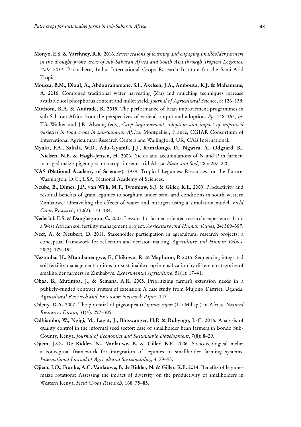- **Monyo, E.S. & Varshney, R.K**. 2016. *Seven seasons of learning and engaging smallholder farmers in the drought-prone areas of sub-Saharan Africa and South Asia through Tropical Legumes, 2007–2014.* Patancheru, India, International Crops Research Institute for the Semi-Arid Tropics.
- **Moussa, B.M., Diouf, A., Abdourahamane, S.I., Axelsen, J.A., Ambouta, K.J. & Mahamane, A**. 2016. Combined traditional water harvesting (Zaï) and mulching techniques increase available soil phosphorus content and millet yield. *Journal of Agricultural Science*, 8: 126–139.
- **Muthoni, R.A. & Andrade, R. 2015**. The performance of bean improvement programmes in sub-Saharan Africa from the perspectives of varietal output and adoption. *Pp.* 148–163, *in*: T.S. Walker and J.R. Alwang (eds), *Crop improvement, adoption and impact of improved varieties in food crops in sub-Saharan Africa*. Montpellier, France, CGIAR Consortium of International Agricultural Research Centers and Wallingford, UK, CAB International.
- **Myaka, F.A., Sakala, W.D., Adu-Gyamfi, J.J., Kamalongo, D., Ngwira, A., Odgaard, R., Nielsen, N.E. & Høgh-Jensen, H.** 2006. Yields and accumulations of N and P in farmermanaged maize-pigeonpea intercrops in semi-arid Africa. *Plant and Soil*, 285: 207–220.
- **NAS (National Academy of Sciences).** 1979. Tropical Legumes: Resources for the Future. Washington, D.C., USA, National Academy of Sciences.
- **Ncube, B., Dimes, J.P., van Wijk, M.T., Twomlow, S.J. & Giller, K.E.** 2009. Productivity and residual benefits of grain legumes to sorghum under semi-arid conditions in south-western Zimbabwe: Unravelling the effects of water and nitrogen using a simulation model. *Field Crops Research*, 110(2): 173–184.
- **Nederlof, E.S. & Dangbégnon, C.** 2007. Lessons for farmer-oriented research: experiences from a West African soil fertility management project. *Agriculture and Human Values*, 24: 369–387.
- **Neef, A. & Neubert, D.** 2011. Stakeholder participation in agricultural research projects: a conceptual framework for reflection and decision-making. *Agriculture and Human Values*, 28(2): 179–194.
- **Nezomba, H., Mtambanengwe, F., Chikowo, R. & Mapfumo, P.** 2015. Sequencing integrated soil fertility management options for sustainable crop intensification by different categories of smallholder farmers in Zimbabwe. *Experimental Agriculture*, 51(1): 17–41.
- **Obaa, B., Mutimba, J., & Semana, A.R.** 2005. Prioritizing farmer's extension needs in a publicly-funded contract system of extension: A case study from Mujono District, Uganda. *Agricultural Research and Extension Network Paper*, 147.
- **Odeny, D.A.** 2007. The potential of pigeonpea (*Cajanus cajan* (L.) Millsp.) in Africa. *Natural Resources Forum,* 31(4): 297–305.
- **Odhiambo, W., Ngigi, M., Lagat, J., Binswanger, H.P. & Rubyogo, J.-C**. 2016. Analysis of quality control in the informal seed sector: case of smallholder bean farmers in Bondo Sub-County, Kenya. *Journal of Economics and Sustainable Development*, 7(8): 8–29.
- **Ojiem, J.O., De Ridder, N., Vanlauwe, B. & Giller, K.E.** 2006. Socio-ecological niche: a conceptual framework for integration of legumes in smallholder farming systems. *International Journal of Agricultural Sustainability,* 4: 79–93.
- **Ojiem, J.O., Franke, A.C. Vanlauwe, B. de Ridder, N. & Giller, K.E.** 2014. Benefits of legumemaize rotations: Assessing the impact of diversity on the productivity of smallholders in Western Kenya. *Field Crops Research*, 168: 75–85.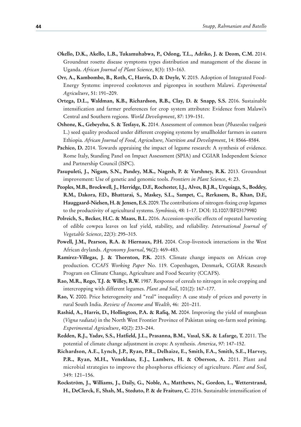- **Okello, D.K., Akello, L.B., Tukamuhabwa, P., Odong, T.L., Adriko, J. & Deom, C.M.** 2014. Groundnut rosette disease symptoms types distribution and management of the disease in Uganda. *African Journal of Plant Science*, 8(3): 153–163.
- **Orr, A., Kambombo, B., Roth, C, Harris, D. & Doyle, V.** 2015. Adoption of Integrated Food-Energy Systems: improved cookstoves and pigeonpea in southern Malawi. *Experimental Agriculture*, 51: 191–209.
- **Ortega, D.L., Waldman, K.B., Richardson, R.B., Clay, D. & Snapp, S.S.** 2016. Sustainable intensification and farmer preferences for crop system attributes: Evidence from Malawi's Central and Southern regions. *World Development*, 87: 139–151.
- **Oshone, K., Gebeyehu, S. & Tesfaye, K.** 2014. Assessment of common bean (*Phaseolus vulgaris* L.) seed quality produced under different cropping systems by smallholder farmers in eastern Ethiopia. *African Journal of Food, Agriculture, Nutrition and Development*, 14: 8566–8584.
- **Pachico, D.** 2014. Towards appraising the impact of legume research: A synthesis of evidence. Rome Italy, Standing Panel on Impact Assessment (SPIA) and CGIAR Independent Science and Partnership Council (ISPC).
- **Pasupuleti, J., Nigam, S.N., Pandey, M.K., Nagesh, P. & Varshney, R.K.** 2013. Groundnut improvement: Use of genetic and genomic tools. *Frontiers in Plant Science*, 4: 23.
- **Peoples, M.B., Brockwell, J., Herridge, D.F., Rochester, I.J., Alves, B.J.R., Urquiaga, S., Boddey, R.M., Dakora, F.D., Bhattarai, S., Maskey, S.L., Sampet, C., Rerkasem, B., Khan, D.F., Hauggaard-Nielsen, H. & Jensen, E.S.** 2009. The contributions of nitrogen-fixing crop legumes to the productivity of agricultural systems. *Symbiosis,* 48: 1–17. DOI: 10.1007/BF03179980
- **Polreich, S., Becker, H.C. & Maass, B.L.** 2016. Accession-specific effects of repeated harvesting of edible cowpea leaves on leaf yield, stability, and reliability. *International Journal of Vegetable Science*, 22(3): 295–315.
- **Powell, J.M., Pearson, R.A. & Hiernaux, P.H.** 2004. Crop-livestock interactions in the West African drylands. *Agronomy Journal*, 96(2): 469–483.
- **Ramírez-Villegas, J. & Thornton, P.K.** 2015. Climate change impacts on African crop production. *CCAFS Working Paper* No. 119. Copenhagen, Denmark, CGIAR Research Program on Climate Change, Agriculture and Food Security (CCAFS).
- **Rao, M.R., Rego, T.J. & Willey, R.W.** 1987. Response of cereals to nitrogen in sole cropping and intercropping with different legumes. *Plant and Soil*, 101(2): 167–177.
- **Rao, V.** 2000. Price heterogeneity and "real" inequality: A case study of prices and poverty in rural South India. *Review of Income and Wealth*, 46: 201–211.
- **Rashid, A., Harris, D., Hollington, P.A. & Rafiq, M.** 2004. Improving the yield of mungbean (*Vigna radiata*) in the North West Frontier Province of Pakistan using on-farm seed priming. *Experimental Agriculture*, 40(2): 233–244.
- **Redden, R.J., Yadav, S.S., Hatfield, J.L., Prasanna, B.M., Vasal, S.K. & Lafarge, T.** 2011. The potential of climate change adjustment in crops: A synthesis. *America*, *97*: 147–152.
- **Richardson, A.E., Lynch, J.P., Ryan, P.R., Delhaize, E., Smith, F.A., Smith, S.E., Harvey, P.R., Ryan, M.H., Veneklaas, E.J., Lambers, H. & Oberson, A.** 2011. Plant and microbial strategies to improve the phosphorus efficiency of agriculture. *Plant and Soil*, 349: 121–156.
- **Rockström, J., Williams, J., Daily, G., Noble, A., Matthews, N., Gordon, L., Wetterstrand, H., DeClerck, F., Shah, M., Steduto, P. & de Fraiture, C.** 2016. Sustainable intensification of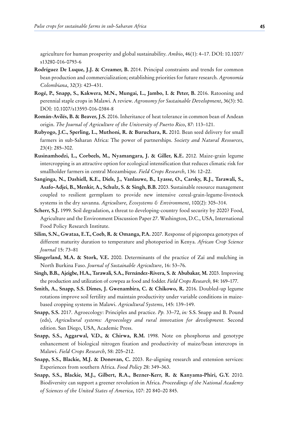agriculture for human prosperity and global sustainability. *Ambio*, 46(1): 4–17. DOI: 10.1007/ s13280-016-0793-6

- **Rodríguez De Luque, J.J. & Creamer, B.** 2014. Principal constraints and trends for common bean production and commercialization; establishing priorities for future research. *Agronomía Colombiana*, 32(3): 423–431.
- **Rogé, P., Snapp, S., Kakwera, M.N., Mungai, L., Jambo, I. & Peter, B.** 2016. Ratooning and perennial staple crops in Malawi. A review. *Agronomy for Sustainable Development*, 36(3): 50. DOI: 10.1007/s13593-016-0384-8
- **Román-Avilés, B. & Beaver, J.S.** 2016. Inheritance of heat tolerance in common bean of Andean origin. *The Journal of Agriculture of the University of Puerto Rico*, 87: 113–121.
- **Rubyogo, J.C., Sperling, L., Muthoni, R. & Buruchara, R.** 2010. Bean seed delivery for small farmers in sub-Saharan Africa: The power of partnerships. *Society and Natural Resources*, 23(4): 285–302.
- **Rusinamhodzi, L., Corbeels, M., Nyamangara, J. & Giller, K.E.** 2012. Maize-grain legume intercropping is an attractive option for ecological intensification that reduces climatic risk for smallholder farmers in central Mozambique. *Field Crops Research*, 136: 12–22.
- **Sanginga, N., Dashiell, K.E., Diels, J., Vanlauwe, B., Lyasse, O., Carsky, R.J., Tarawali, S., Asafo-Adjei, B., Menkir, A., Schulz, S. & Singh, B.B.** 2003. Sustainable resource management coupled to resilient germplasm to provide new intensive cereal-grain-legume-livestock systems in the dry savanna. *Agriculture, Ecosystems & Environment*, 100(2): 305–314.
- **Scherr, S.J.** 1999. Soil degradation, a threat to developing-country food security by 2020? Food, Agriculture and the Environment Discussion Paper 27. Washington, D.C., USA, International Food Policy Research Institute.
- **Silim, S.N., Gwataa, E.T., Coeb, R. & Omanga, P.A.** 2007. Response of pigeonpea genotypes of different maturity duration to temperature and photoperiod in Kenya. *African Crop Science Journal* 15: 73–81
- **Slingerland, M.A. & Stork, V.E.** 2000. Determinants of the practice of Zaï and mulching in North Burkina Faso. *Journal of Sustainable Agriculture*, 16: 53–76.
- **Singh, B.B., Ajeigbe, H.A., Tarawali, S.A., Fernández-Rivera, S. & Abubakar, M.** 2003. Improving the production and utilization of cowpea as food and fodder. *Field Crops Research,* 84: 169–177.
- **Smith, A., Snapp, S.S. Dimes, J. Gwenambira, C. & Chikowo, R.** 2016. Doubled-up legume rotations improve soil fertility and maintain productivity under variable conditions in maizebased cropping systems in Malawi. *Agricultural Systems*, 145: 139–149.
- **Snapp, S.S.** 2017. Agroecology: Principles and practice. *Pp.* 33–72, *in:* S.S. Snapp and B. Pound (eds), *Agricultural systems: Agroecology and rural innovation for development.* Second edition. San Diego, USA, Academic Press.
- **Snapp, S.S., Aggarwal, V.D., & Chirwa, R.M.** 1998. Note on phosphorus and genotype enhancement of biological nitrogen fixation and productivity of maize/bean intercrops in Malawi. *Field Crops Research*, 58: 205–212.
- **Snapp, S.S., Blackie, M.J. & Donovan, C.** 2003. Re-aligning research and extension services: Experiences from southern Africa. *Food Policy* 28: 349–363.
- **Snapp, S.S., Blackie, M.J., Gilbert, R.A., Bezner-Kerr, R. & Kanyama-Phiri, G.Y.** 2010. Biodiversity can support a greener revolution in Africa. *Proceedings of the National Academy of Sciences of the United States of America*, 107: 20 840–20 845.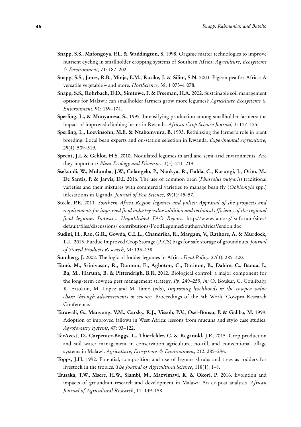- **Snapp, S.S., Mafongoya, P.L. & Waddington, S.** 1998. Organic matter technologies to improve nutrient cycling in smallholder cropping systems of Southern Africa. *Agriculture, Ecosystems & Environment,* 71: 187–202.
- **Snapp, S.S., Jones, R.B., Minja, E.M., Rusike, J. & Silim, S.N.** 2003. Pigeon pea for Africa: A versatile vegetable – and more. *HortScience,* 38: 1 073–1 078.
- **Snapp, S.S., Rohrbach, D.D., Simtowe, F. & Freeman, H.A.** 2002. Sustainable soil management options for Malawi: can smallholder farmers grow more legumes? *Agriculture Ecosystems & Environment,* 91: 159–174.
- **Sperling, L., & Munyanesa, S.,** 1995. Intensifying production among smallholder farmers: the impact of improved climbing beans in Rwanda. *African Crop Science Journal,* 3: 117–125.
- **Sperling, L., Loevinsohn, M.E. & Ntabomvura, B.** 1993. Rethinking the farmer's role in plant breeding: Local bean experts and on-station selection in Rwanda. *Experimental Agriculture*, 29(4): 509–519.
- **Sprent, J.I. & Gehlot, H.S. 2010.** Nodulated legumes in arid and semi-arid environments: Are they important? *Plant Ecology and Diversity*, 3(3): 211–219.
- **Ssekandi, W., Mulumba, J.W., Colangelo, P., Nankya, R., Fadda, C., Karungi, J., Otim, M., De Santis, P. & Jarvis, D.I.** 2016. The use of common bean (*Phaseolus vulgaris*) traditional varieties and their mixtures with commercial varieties to manage bean fly (*Ophiomyia* spp.) infestations in Uganda. *Journal of Pest Science*, 89(1): 45–57.
- **Steele, P.E.** 2011. *Southern Africa Region legumes and pulses: Appraisal of the prospects and requirements for improved food industry value addition and technical efficiency of the regional food legumes Industry. Unpublished FAO Report.* http://www.fao.org/fsnforum/sites/ default/files/discussions/ contributions/FoodLegumesSouthernAfricaVersion.doc
- **Sudini, H., Rao, G.R., Gowda, C.L.L., Chandrika, R., Margam, V., Rathore, A. & Murdock, L.L.** 2015. Purdue Improved Crop Storage (PICS) bags for safe storage of groundnuts. *Journal of Stored Products Research*, 64: 133–138.
- **Sumberg, J.** 2002. The logic of fodder legumes in Africa. *Food Policy*, 27(3): 285–300.
- **Tamò, M., Srinivasan, R., Dannon, E., Agboton, C., Datinon, B., Dabire, C., Baoua, I., Ba, M., Haruna, B. & Pittendrigh. B.R.** 2012. Biological control: a major component for the long-term cowpea pest management strategy. *Pp*. 249–259, *in:* O. Boukar, C. Coulibaly, K. Fatokun, M. Lopez and M. Tamò (eds), *Improving livelihoods in the cowpea value chain through advancements in science.* Proceedings of the 5th World Cowpea Research Conference.
- **Tarawali, G., Manyong, V.M., Carsky, R.J., Vissoh, P.V., Osei-Bonsu, P. & Galiba, M.** 1999. Adoption of improved fallows in West Africa: lessons from mucuna and stylo case studies. *Agroforestry systems*, 47: 93–122.
- **TerAvest, D., Carpenter-Boggs, L., Thierfelder, C. & Reganold, J.P.,** 2015. Crop production and soil water management in conservation agriculture, no-till, and conventional tillage systems in Malawi. *Agriculture, Ecosystems & Environment*, 212: 285–296.
- **Topps, J.H.** 1992. Potential, composition and use of legume shrubs and trees as fodders for livestock in the tropics. *The Journal of Agricultural Science*, 118(1): 1–8.
- **Tsusaka, T.W., Msere, H.W., Siambi, M., Mazvimavi, K. & Okori, P**. 2016. Evolution and impacts of groundnut research and development in Malawi: An ex-post analysis. *African Journal of Agricultural Research*, 11: 139–158.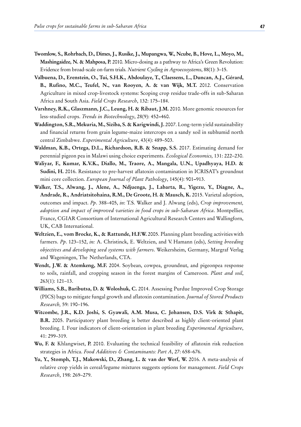- **Twomlow, S., Rohrbach, D., Dimes, J., Rusike, J., Mupangwa, W., Ncube, B., Hove, L., Moyo, M., Mashingaidze, N. & Mahposa, P.** 2010. Micro-dosing as a pathway to Africa's Green Revolution: Evidence from broad-scale on-farm trials. *Nutrient Cycling in Agroecosystems*, 88(1): 3–15.
- **Valbuena, D., Erenstein, O., Tui, S.H.K., Abdoulaye, T., Claessens, L., Duncan, A.J., Gérard, B., Rufino, M.C., Teufel, N., van Rooyen, A. & van Wijk, M.T.** 2012. Conservation Agriculture in mixed crop-livestock systems: Scoping crop residue trade-offs in sub-Saharan Africa and South Asia. *Field Crops Research*, 132: 175–184.
- **Varshney, R.K., Glaszmann, J.C., Leung, H. & Ribaut, J.M.** 2010. More genomic resources for less-studied crops. *Trends in Biotechnology*, 28(9): 452**–**460.
- **Waddington, S.R., Mekuria, M., Siziba, S. & Karigwindi, J.** 2007. Long-term yield sustainability and financial returns from grain legume-maize intercrops on a sandy soil in subhumid north central Zimbabwe. *Experimental Agriculture*, 43(4): 489–503.
- **Waldman, K.B., Ortega, D.L., Richardson, R.B. & Snapp, S.S.** 2017. Estimating demand for perennial pigeon pea in Malawi using choice experiments. *Ecological Economics,* 131: 222–230.
- **Waliyar, F., Kumar, K.V.K., Diallo, M., Traore, A., Mangala, U.N., Upadhyaya, H.D. & Sudini, H.** 2016. Resistance to pre-harvest aflatoxin contamination in ICRISAT's groundnut mini core collection. *European Journal of Plant Pathology*, 145(4): 901**–**913.
- **Walker, T.S., Alwang, J., Alene, A., Ndjuenga, J., Labarta, R., Yigezu, Y., Diagne, A., Andrade, R., Andriatsitohaina, R.M., De Groote, H. & Mausch, K.** 2015. Varietal adoption, outcomes and impact. *Pp*. 388–405, *in*: T.S. Walker and J. Alwang (eds), *Crop improvement, adoption and impact of improved varieties in food crops in sub-Saharan Africa*. Montpellier, France, CGIAR Consortium of International Agricultural Research Centers and Wallingforn, UK, CAB International.
- **Weltzien, E., vom Brocke, K., & Rattunde, H.F.W.** 2005. Planning plant breeding activities with farmers. *Pp*. 123–152, *in:* A. Christinck, E. Weltzien, and V. Hamann (eds), *Setting breeding objectives and developing seed systems with farmers*. Weikersheim, Germany, Margraf Verlag and Wageningen, The Netherlands, CTA.
- **Wendt, J.W. & Atemkeng, M.F.** 2004. Soybean, cowpea, groundnut, and pigeonpea response to soils, rainfall, and cropping season in the forest margins of Cameroon. *Plant and soil*, 263(1): 121–13.
- **Williams, S.B., Baributsa, D. & Woloshuk, C.** 2014. Assessing Purdue Improved Crop Storage (PICS) bags to mitigate fungal growth and aflatoxin contamination. *Journal of Stored Products Research,* 59: 190–196.
- **Witcombe, J.R., K.D. Joshi, S. Gyawali, A.M. Musa, C. Johansen, D.S. Virk & Sthapit, B.R.** 2005. Participatory plant breeding is better described as highly client-oriented plant breeding. I. Four indicators of client-orientation in plant breeding *Experimental Agriculture*, 41: 299–319.
- **Wu, F. &** Khlangwiset, **P.** 2010. Evaluating the technical feasibility of aflatoxin risk reduction strategies in Africa. *Food Additives & Contaminants: Part A*, 27: 658–676.
- **Yu, Y., Stomph, T.J., Makowski, D., Zhang, L. & van der Werf, W.** 2016. A meta-analysis of relative crop yields in cereal/legume mixtures suggests options for management. *Field Crops Research*, 198: 269–279.